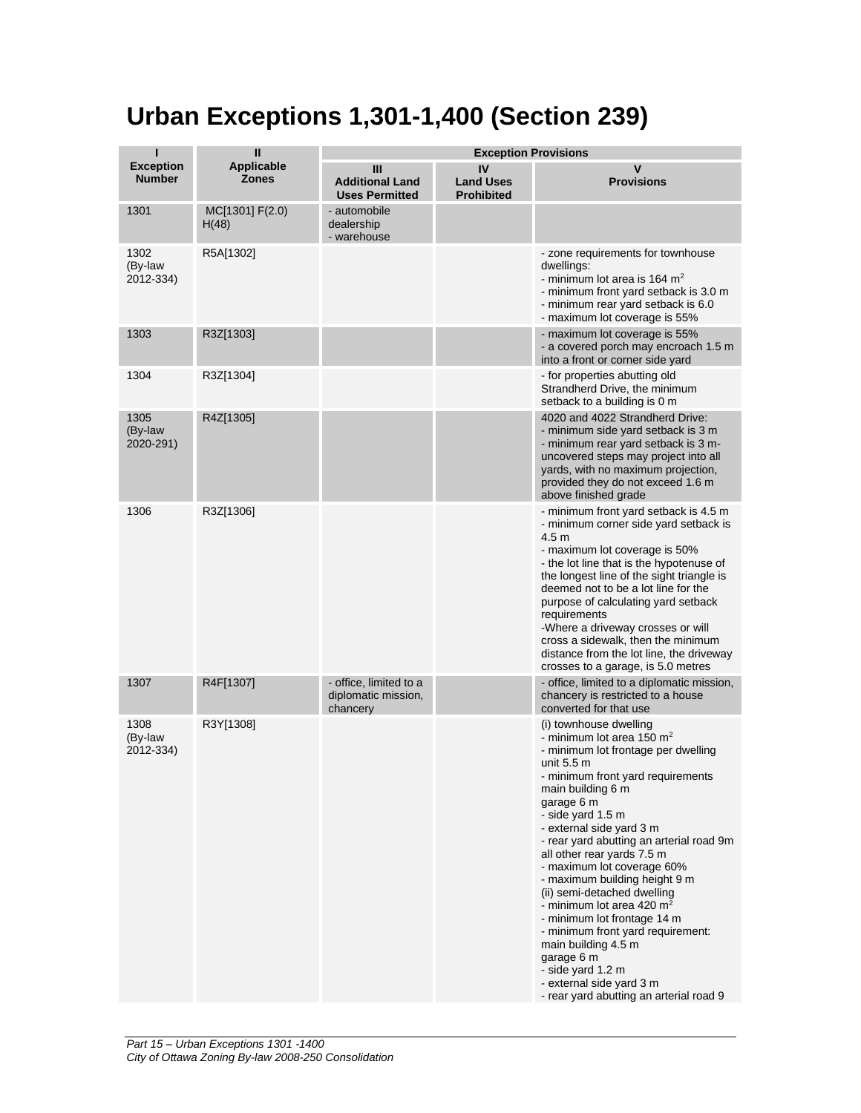## **Urban Exceptions 1,301-1,400 (Section 239)**

| П                                 | $\mathbf{I}$                      | <b>Exception Provisions</b>                               |                                             |                                                                                                                                                                                                                                                                                                                                                                                                                                                                                                                                                                                                                                                           |  |
|-----------------------------------|-----------------------------------|-----------------------------------------------------------|---------------------------------------------|-----------------------------------------------------------------------------------------------------------------------------------------------------------------------------------------------------------------------------------------------------------------------------------------------------------------------------------------------------------------------------------------------------------------------------------------------------------------------------------------------------------------------------------------------------------------------------------------------------------------------------------------------------------|--|
| <b>Exception</b><br><b>Number</b> | <b>Applicable</b><br><b>Zones</b> | Ш<br><b>Additional Land</b><br><b>Uses Permitted</b>      | IV<br><b>Land Uses</b><br><b>Prohibited</b> | V<br><b>Provisions</b>                                                                                                                                                                                                                                                                                                                                                                                                                                                                                                                                                                                                                                    |  |
| 1301                              | MC[1301] F(2.0)<br>H(48)          | - automobile<br>dealership<br>- warehouse                 |                                             |                                                                                                                                                                                                                                                                                                                                                                                                                                                                                                                                                                                                                                                           |  |
| 1302<br>(By-law<br>2012-334)      | R5A[1302]                         |                                                           |                                             | - zone requirements for townhouse<br>dwellings:<br>- minimum lot area is 164 $m2$<br>- minimum front yard setback is 3.0 m<br>- minimum rear yard setback is 6.0<br>- maximum lot coverage is 55%                                                                                                                                                                                                                                                                                                                                                                                                                                                         |  |
| 1303                              | R3Z[1303]                         |                                                           |                                             | - maximum lot coverage is 55%<br>- a covered porch may encroach 1.5 m<br>into a front or corner side yard                                                                                                                                                                                                                                                                                                                                                                                                                                                                                                                                                 |  |
| 1304                              | R3Z[1304]                         |                                                           |                                             | - for properties abutting old<br>Strandherd Drive, the minimum<br>setback to a building is 0 m                                                                                                                                                                                                                                                                                                                                                                                                                                                                                                                                                            |  |
| 1305<br>(By-law<br>2020-291)      | R4Z[1305]                         |                                                           |                                             | 4020 and 4022 Strandherd Drive:<br>- minimum side yard setback is 3 m<br>- minimum rear yard setback is 3 m-<br>uncovered steps may project into all<br>yards, with no maximum projection,<br>provided they do not exceed 1.6 m<br>above finished grade                                                                                                                                                                                                                                                                                                                                                                                                   |  |
| 1306                              | R3Z[1306]                         |                                                           |                                             | - minimum front yard setback is 4.5 m<br>- minimum corner side yard setback is<br>4.5 <sub>m</sub><br>- maximum lot coverage is 50%<br>- the lot line that is the hypotenuse of<br>the longest line of the sight triangle is<br>deemed not to be a lot line for the<br>purpose of calculating yard setback<br>requirements<br>-Where a driveway crosses or will<br>cross a sidewalk, then the minimum<br>distance from the lot line, the driveway<br>crosses to a garage, is 5.0 metres                                                                                                                                                                   |  |
| 1307                              | R4F[1307]                         | - office, limited to a<br>diplomatic mission,<br>chancery |                                             | - office, limited to a diplomatic mission,<br>chancery is restricted to a house<br>converted for that use                                                                                                                                                                                                                                                                                                                                                                                                                                                                                                                                                 |  |
| 1308<br>(By-law<br>2012-334)      | R3Y[1308]                         |                                                           |                                             | (i) townhouse dwelling<br>- minimum lot area 150 $m2$<br>- minimum lot frontage per dwelling<br>unit $5.5 \text{ m}$<br>- minimum front yard requirements<br>main building 6 m<br>garage 6 m<br>- side yard 1.5 m<br>- external side yard 3 m<br>- rear yard abutting an arterial road 9m<br>all other rear yards 7.5 m<br>- maximum lot coverage 60%<br>- maximum building height 9 m<br>(ii) semi-detached dwelling<br>- minimum lot area 420 $m2$<br>- minimum lot frontage 14 m<br>- minimum front yard requirement:<br>main building 4.5 m<br>garage 6 m<br>- side yard 1.2 m<br>- external side yard 3 m<br>- rear yard abutting an arterial road 9 |  |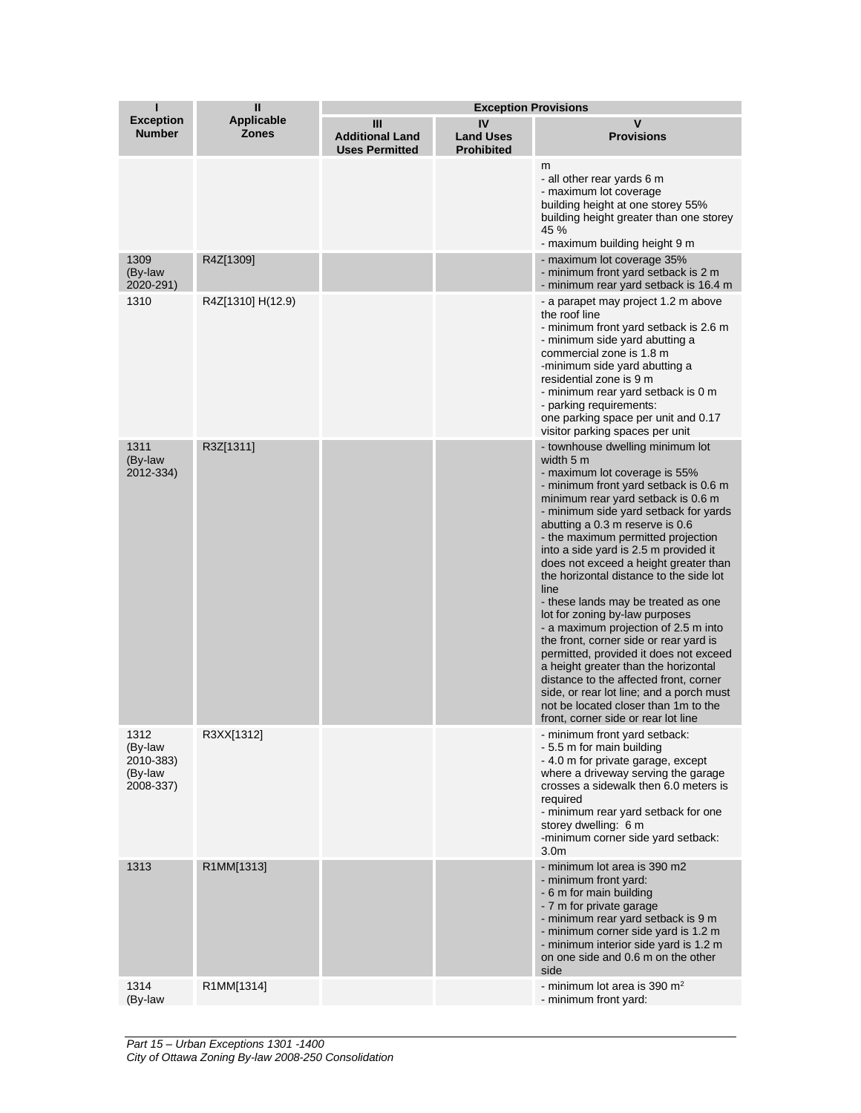| ī                                                    | $\mathbf{I}$                      | <b>Exception Provisions</b>                          |                                             |                                                                                                                                                                                                                                                                                                                                                                                                                                                                                                                                                                                                                                                                                                                                                                                                                                        |
|------------------------------------------------------|-----------------------------------|------------------------------------------------------|---------------------------------------------|----------------------------------------------------------------------------------------------------------------------------------------------------------------------------------------------------------------------------------------------------------------------------------------------------------------------------------------------------------------------------------------------------------------------------------------------------------------------------------------------------------------------------------------------------------------------------------------------------------------------------------------------------------------------------------------------------------------------------------------------------------------------------------------------------------------------------------------|
| <b>Exception</b><br><b>Number</b>                    | <b>Applicable</b><br><b>Zones</b> | Ш<br><b>Additional Land</b><br><b>Uses Permitted</b> | IV<br><b>Land Uses</b><br><b>Prohibited</b> | $\mathsf{V}$<br><b>Provisions</b>                                                                                                                                                                                                                                                                                                                                                                                                                                                                                                                                                                                                                                                                                                                                                                                                      |
|                                                      |                                   |                                                      |                                             | m<br>- all other rear yards 6 m<br>- maximum lot coverage<br>building height at one storey 55%<br>building height greater than one storey<br>45 %<br>- maximum building height 9 m                                                                                                                                                                                                                                                                                                                                                                                                                                                                                                                                                                                                                                                     |
| 1309<br>(By-law<br>2020-291)                         | R4Z[1309]                         |                                                      |                                             | - maximum lot coverage 35%<br>- minimum front yard setback is 2 m<br>- minimum rear yard setback is 16.4 m                                                                                                                                                                                                                                                                                                                                                                                                                                                                                                                                                                                                                                                                                                                             |
| 1310                                                 | R4Z[1310] H(12.9)                 |                                                      |                                             | - a parapet may project 1.2 m above<br>the roof line<br>- minimum front yard setback is 2.6 m<br>- minimum side yard abutting a<br>commercial zone is 1.8 m<br>-minimum side yard abutting a<br>residential zone is 9 m<br>- minimum rear yard setback is 0 m<br>- parking requirements:<br>one parking space per unit and 0.17<br>visitor parking spaces per unit                                                                                                                                                                                                                                                                                                                                                                                                                                                                     |
| 1311<br>(By-law<br>2012-334)                         | R3Z[1311]                         |                                                      |                                             | - townhouse dwelling minimum lot<br>width 5 m<br>- maximum lot coverage is 55%<br>- minimum front yard setback is 0.6 m<br>minimum rear yard setback is 0.6 m<br>- minimum side yard setback for yards<br>abutting a 0.3 m reserve is 0.6<br>- the maximum permitted projection<br>into a side yard is 2.5 m provided it<br>does not exceed a height greater than<br>the horizontal distance to the side lot<br>line<br>- these lands may be treated as one<br>lot for zoning by-law purposes<br>- a maximum projection of 2.5 m into<br>the front, corner side or rear yard is<br>permitted, provided it does not exceed<br>a height greater than the horizontal<br>distance to the affected front, corner<br>side, or rear lot line; and a porch must<br>not be located closer than 1m to the<br>front, corner side or rear lot line |
| 1312<br>(By-law<br>2010-383)<br>(By-law<br>2008-337) | R3XX[1312]                        |                                                      |                                             | - minimum front yard setback:<br>- 5.5 m for main building<br>- 4.0 m for private garage, except<br>where a driveway serving the garage<br>crosses a sidewalk then 6.0 meters is<br>required<br>- minimum rear yard setback for one<br>storey dwelling: 6 m<br>-minimum corner side yard setback:<br>3.0 <sub>m</sub>                                                                                                                                                                                                                                                                                                                                                                                                                                                                                                                  |
| 1313                                                 | R1MM[1313]                        |                                                      |                                             | - minimum lot area is 390 m2<br>- minimum front yard:<br>- 6 m for main building<br>- 7 m for private garage<br>- minimum rear yard setback is 9 m<br>- minimum corner side yard is 1.2 m<br>- minimum interior side yard is 1.2 m<br>on one side and 0.6 m on the other<br>side                                                                                                                                                                                                                                                                                                                                                                                                                                                                                                                                                       |
| 1314<br>(By-law                                      | R1MM[1314]                        |                                                      |                                             | - minimum lot area is 390 $m2$<br>- minimum front yard:                                                                                                                                                                                                                                                                                                                                                                                                                                                                                                                                                                                                                                                                                                                                                                                |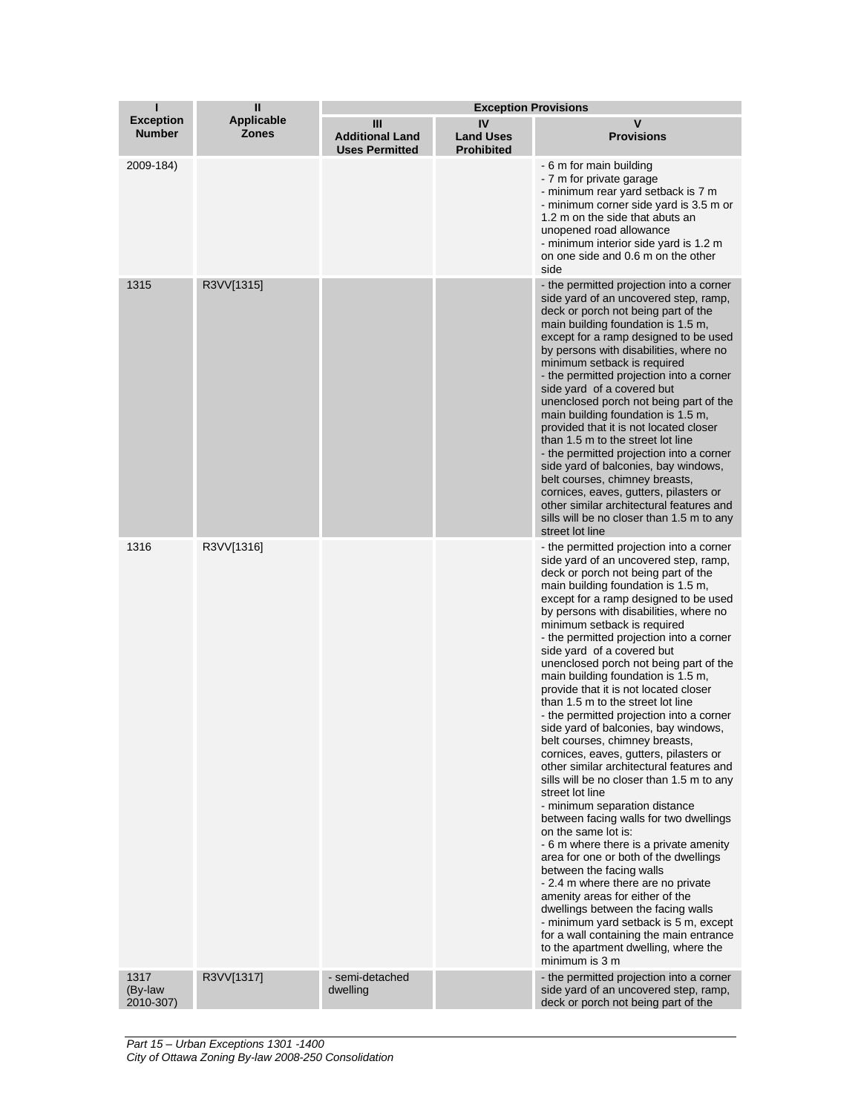| т                                 | $\mathbf{I}$                      | <b>Exception Provisions</b>                          |                                             |                                                                                                                                                                                                                                                                                                                                                                                                                                                                                                                                                                                                                                                                                                                                                                                                                                                                                                                                                                                                                                                                                                                                                                                                                                                                                    |
|-----------------------------------|-----------------------------------|------------------------------------------------------|---------------------------------------------|------------------------------------------------------------------------------------------------------------------------------------------------------------------------------------------------------------------------------------------------------------------------------------------------------------------------------------------------------------------------------------------------------------------------------------------------------------------------------------------------------------------------------------------------------------------------------------------------------------------------------------------------------------------------------------------------------------------------------------------------------------------------------------------------------------------------------------------------------------------------------------------------------------------------------------------------------------------------------------------------------------------------------------------------------------------------------------------------------------------------------------------------------------------------------------------------------------------------------------------------------------------------------------|
| <b>Exception</b><br><b>Number</b> | <b>Applicable</b><br><b>Zones</b> | Ш<br><b>Additional Land</b><br><b>Uses Permitted</b> | IV<br><b>Land Uses</b><br><b>Prohibited</b> | v<br><b>Provisions</b>                                                                                                                                                                                                                                                                                                                                                                                                                                                                                                                                                                                                                                                                                                                                                                                                                                                                                                                                                                                                                                                                                                                                                                                                                                                             |
| 2009-184)                         |                                   |                                                      |                                             | - 6 m for main building<br>- 7 m for private garage<br>- minimum rear yard setback is 7 m<br>- minimum corner side yard is 3.5 m or<br>1.2 m on the side that abuts an<br>unopened road allowance<br>- minimum interior side yard is 1.2 m<br>on one side and 0.6 m on the other<br>side                                                                                                                                                                                                                                                                                                                                                                                                                                                                                                                                                                                                                                                                                                                                                                                                                                                                                                                                                                                           |
| 1315                              | R3VV[1315]                        |                                                      |                                             | - the permitted projection into a corner<br>side yard of an uncovered step, ramp,<br>deck or porch not being part of the<br>main building foundation is 1.5 m,<br>except for a ramp designed to be used<br>by persons with disabilities, where no<br>minimum setback is required<br>- the permitted projection into a corner<br>side yard of a covered but<br>unenclosed porch not being part of the<br>main building foundation is 1.5 m,<br>provided that it is not located closer<br>than 1.5 m to the street lot line<br>- the permitted projection into a corner<br>side yard of balconies, bay windows,<br>belt courses, chimney breasts,<br>cornices, eaves, gutters, pilasters or<br>other similar architectural features and<br>sills will be no closer than 1.5 m to any<br>street lot line                                                                                                                                                                                                                                                                                                                                                                                                                                                                              |
| 1316                              | R3VV[1316]                        |                                                      |                                             | - the permitted projection into a corner<br>side yard of an uncovered step, ramp,<br>deck or porch not being part of the<br>main building foundation is 1.5 m,<br>except for a ramp designed to be used<br>by persons with disabilities, where no<br>minimum setback is required<br>- the permitted projection into a corner<br>side yard of a covered but<br>unenclosed porch not being part of the<br>main building foundation is 1.5 m,<br>provide that it is not located closer<br>than 1.5 m to the street lot line<br>- the permitted projection into a corner<br>side yard of balconies, bay windows,<br>belt courses, chimney breasts,<br>cornices, eaves, gutters, pilasters or<br>other similar architectural features and<br>sills will be no closer than 1.5 m to any<br>street lot line<br>- minimum separation distance<br>between facing walls for two dwellings<br>on the same lot is:<br>- 6 m where there is a private amenity<br>area for one or both of the dwellings<br>between the facing walls<br>- 2.4 m where there are no private<br>amenity areas for either of the<br>dwellings between the facing walls<br>- minimum yard setback is 5 m, except<br>for a wall containing the main entrance<br>to the apartment dwelling, where the<br>minimum is 3 m |
| 1317<br>(By-law<br>2010-307)      | R3VV[1317]                        | - semi-detached<br>dwelling                          |                                             | - the permitted projection into a corner<br>side yard of an uncovered step, ramp,<br>deck or porch not being part of the                                                                                                                                                                                                                                                                                                                                                                                                                                                                                                                                                                                                                                                                                                                                                                                                                                                                                                                                                                                                                                                                                                                                                           |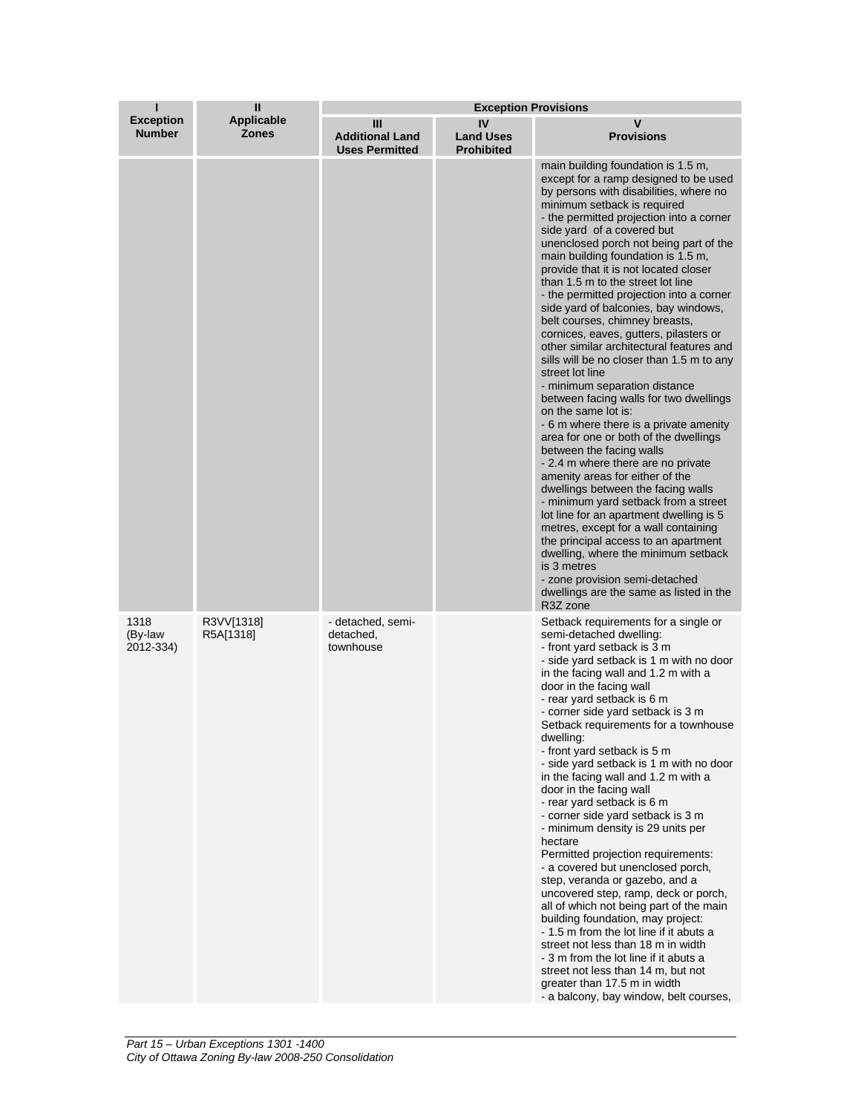| ı                                 | Ш                                 | <b>Exception Provisions</b>                          |                                             |                                                                                                                                                                                                                                                                                                                                                                                                                                                                                                                                                                                                                                                                                                                                                                                                                                                                                                                                                                                                                                                                                                                                                                                                                                                                                                                            |  |
|-----------------------------------|-----------------------------------|------------------------------------------------------|---------------------------------------------|----------------------------------------------------------------------------------------------------------------------------------------------------------------------------------------------------------------------------------------------------------------------------------------------------------------------------------------------------------------------------------------------------------------------------------------------------------------------------------------------------------------------------------------------------------------------------------------------------------------------------------------------------------------------------------------------------------------------------------------------------------------------------------------------------------------------------------------------------------------------------------------------------------------------------------------------------------------------------------------------------------------------------------------------------------------------------------------------------------------------------------------------------------------------------------------------------------------------------------------------------------------------------------------------------------------------------|--|
| <b>Exception</b><br><b>Number</b> | <b>Applicable</b><br><b>Zones</b> | Ш<br><b>Additional Land</b><br><b>Uses Permitted</b> | IV<br><b>Land Uses</b><br><b>Prohibited</b> | $\mathbf v$<br><b>Provisions</b>                                                                                                                                                                                                                                                                                                                                                                                                                                                                                                                                                                                                                                                                                                                                                                                                                                                                                                                                                                                                                                                                                                                                                                                                                                                                                           |  |
|                                   |                                   |                                                      |                                             | main building foundation is 1.5 m,<br>except for a ramp designed to be used<br>by persons with disabilities, where no<br>minimum setback is required<br>- the permitted projection into a corner<br>side yard of a covered but<br>unenclosed porch not being part of the<br>main building foundation is 1.5 m.<br>provide that it is not located closer<br>than 1.5 m to the street lot line<br>- the permitted projection into a corner<br>side yard of balconies, bay windows,<br>belt courses, chimney breasts,<br>cornices, eaves, gutters, pilasters or<br>other similar architectural features and<br>sills will be no closer than 1.5 m to any<br>street lot line<br>- minimum separation distance<br>between facing walls for two dwellings<br>on the same lot is:<br>- 6 m where there is a private amenity<br>area for one or both of the dwellings<br>between the facing walls<br>- 2.4 m where there are no private<br>amenity areas for either of the<br>dwellings between the facing walls<br>- minimum yard setback from a street<br>lot line for an apartment dwelling is 5<br>metres, except for a wall containing<br>the principal access to an apartment<br>dwelling, where the minimum setback<br>is 3 metres<br>- zone provision semi-detached<br>dwellings are the same as listed in the<br>R3Z zone |  |
| 1318<br>(By-law<br>2012-334)      | R3VV[1318]<br>R5A[1318]           | - detached, semi-<br>detached,<br>townhouse          |                                             | Setback requirements for a single or<br>semi-detached dwelling:<br>- front yard setback is 3 m<br>- side yard setback is 1 m with no door<br>in the facing wall and 1.2 m with a<br>door in the facing wall<br>- rear yard setback is 6 m<br>- corner side yard setback is 3 m<br>Setback requirements for a townhouse<br>dwelling:<br>- front yard setback is 5 m<br>- side yard setback is 1 m with no door<br>in the facing wall and 1.2 m with a<br>door in the facing wall<br>- rear yard setback is 6 m<br>- corner side yard setback is 3 m<br>- minimum density is 29 units per<br>hectare<br>Permitted projection requirements:<br>- a covered but unenclosed porch,<br>step, veranda or gazebo, and a<br>uncovered step, ramp, deck or porch,<br>all of which not being part of the main<br>building foundation, may project:<br>- 1.5 m from the lot line if it abuts a<br>street not less than 18 m in width<br>- 3 m from the lot line if it abuts a<br>street not less than 14 m, but not<br>greater than 17.5 m in width<br>- a balcony, bay window, belt courses,                                                                                                                                                                                                                                          |  |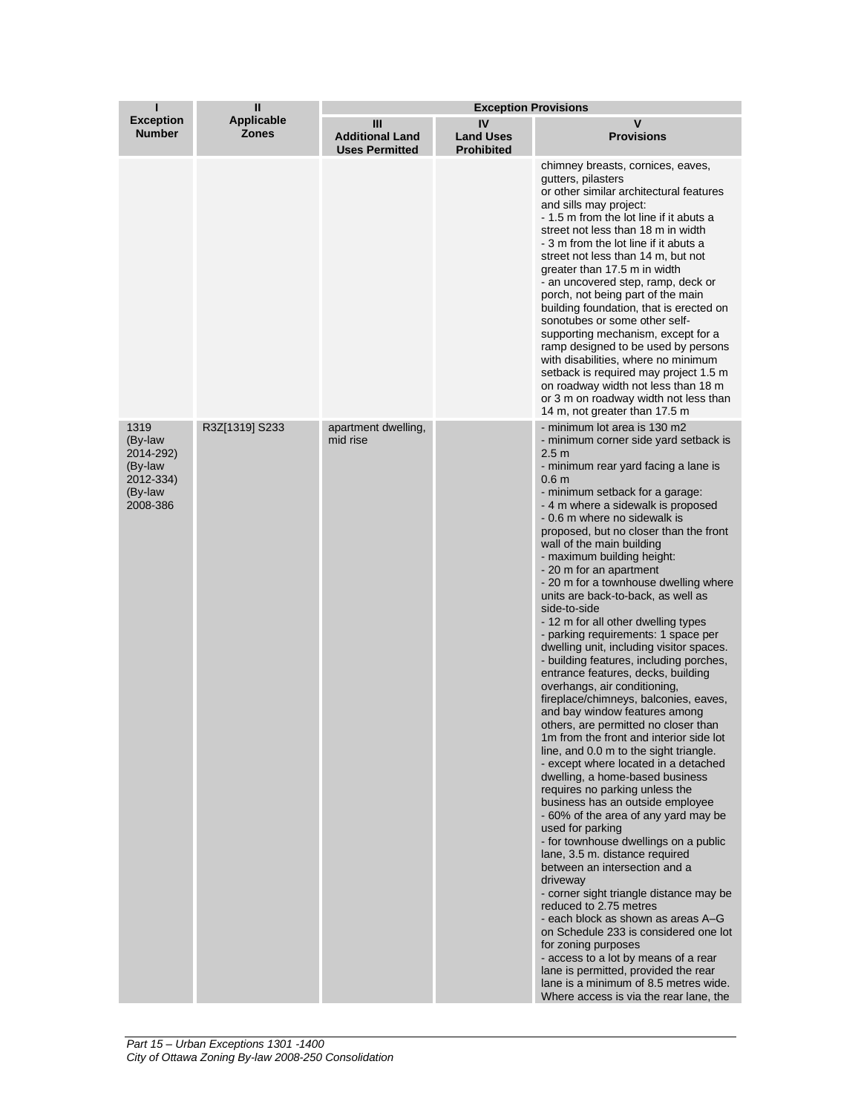| Ш<br><b>Exception Provisions</b><br>ı                                       |                                   |                                                      |                                             |                                                                                                                                                                                                                                                                                                                                                                                                                                                                                                                                                                                                                                                                                                                                                                                                                                                                                                                                                                                                                                                                                                                                                                                                                                                                                                                                                                                                                                                                                                                                                                                                                                    |
|-----------------------------------------------------------------------------|-----------------------------------|------------------------------------------------------|---------------------------------------------|------------------------------------------------------------------------------------------------------------------------------------------------------------------------------------------------------------------------------------------------------------------------------------------------------------------------------------------------------------------------------------------------------------------------------------------------------------------------------------------------------------------------------------------------------------------------------------------------------------------------------------------------------------------------------------------------------------------------------------------------------------------------------------------------------------------------------------------------------------------------------------------------------------------------------------------------------------------------------------------------------------------------------------------------------------------------------------------------------------------------------------------------------------------------------------------------------------------------------------------------------------------------------------------------------------------------------------------------------------------------------------------------------------------------------------------------------------------------------------------------------------------------------------------------------------------------------------------------------------------------------------|
| <b>Exception</b><br><b>Number</b>                                           | <b>Applicable</b><br><b>Zones</b> | Ш<br><b>Additional Land</b><br><b>Uses Permitted</b> | IV<br><b>Land Uses</b><br><b>Prohibited</b> | $\mathbf v$<br><b>Provisions</b>                                                                                                                                                                                                                                                                                                                                                                                                                                                                                                                                                                                                                                                                                                                                                                                                                                                                                                                                                                                                                                                                                                                                                                                                                                                                                                                                                                                                                                                                                                                                                                                                   |
|                                                                             |                                   |                                                      |                                             | chimney breasts, cornices, eaves,<br>qutters, pilasters<br>or other similar architectural features<br>and sills may project:<br>- 1.5 m from the lot line if it abuts a<br>street not less than 18 m in width<br>- 3 m from the lot line if it abuts a<br>street not less than 14 m, but not<br>greater than 17.5 m in width<br>- an uncovered step, ramp, deck or<br>porch, not being part of the main<br>building foundation, that is erected on<br>sonotubes or some other self-<br>supporting mechanism, except for a<br>ramp designed to be used by persons<br>with disabilities, where no minimum<br>setback is required may project 1.5 m<br>on roadway width not less than 18 m<br>or 3 m on roadway width not less than<br>14 m, not greater than 17.5 m                                                                                                                                                                                                                                                                                                                                                                                                                                                                                                                                                                                                                                                                                                                                                                                                                                                                  |
| 1319<br>(By-law<br>2014-292)<br>(By-law<br>2012-334)<br>(By-law<br>2008-386 | R3Z[1319] S233                    | apartment dwelling,<br>mid rise                      |                                             | - minimum lot area is 130 m2<br>- minimum corner side yard setback is<br>2.5 <sub>m</sub><br>- minimum rear yard facing a lane is<br>0.6 <sub>m</sub><br>- minimum setback for a garage:<br>- 4 m where a sidewalk is proposed<br>- 0.6 m where no sidewalk is<br>proposed, but no closer than the front<br>wall of the main building<br>- maximum building height:<br>- 20 m for an apartment<br>- 20 m for a townhouse dwelling where<br>units are back-to-back, as well as<br>side-to-side<br>- 12 m for all other dwelling types<br>- parking requirements: 1 space per<br>dwelling unit, including visitor spaces.<br>- building features, including porches,<br>entrance features, decks, building<br>overhangs, air conditioning,<br>fireplace/chimneys, balconies, eaves,<br>and bay window features among<br>others, are permitted no closer than<br>1m from the front and interior side lot<br>line, and 0.0 m to the sight triangle.<br>- except where located in a detached<br>dwelling, a home-based business<br>requires no parking unless the<br>business has an outside employee<br>- 60% of the area of any yard may be<br>used for parking<br>- for townhouse dwellings on a public<br>lane, 3.5 m. distance required<br>between an intersection and a<br>driveway<br>- corner sight triangle distance may be<br>reduced to 2.75 metres<br>- each block as shown as areas A-G<br>on Schedule 233 is considered one lot<br>for zoning purposes<br>- access to a lot by means of a rear<br>lane is permitted, provided the rear<br>lane is a minimum of 8.5 metres wide.<br>Where access is via the rear lane, the |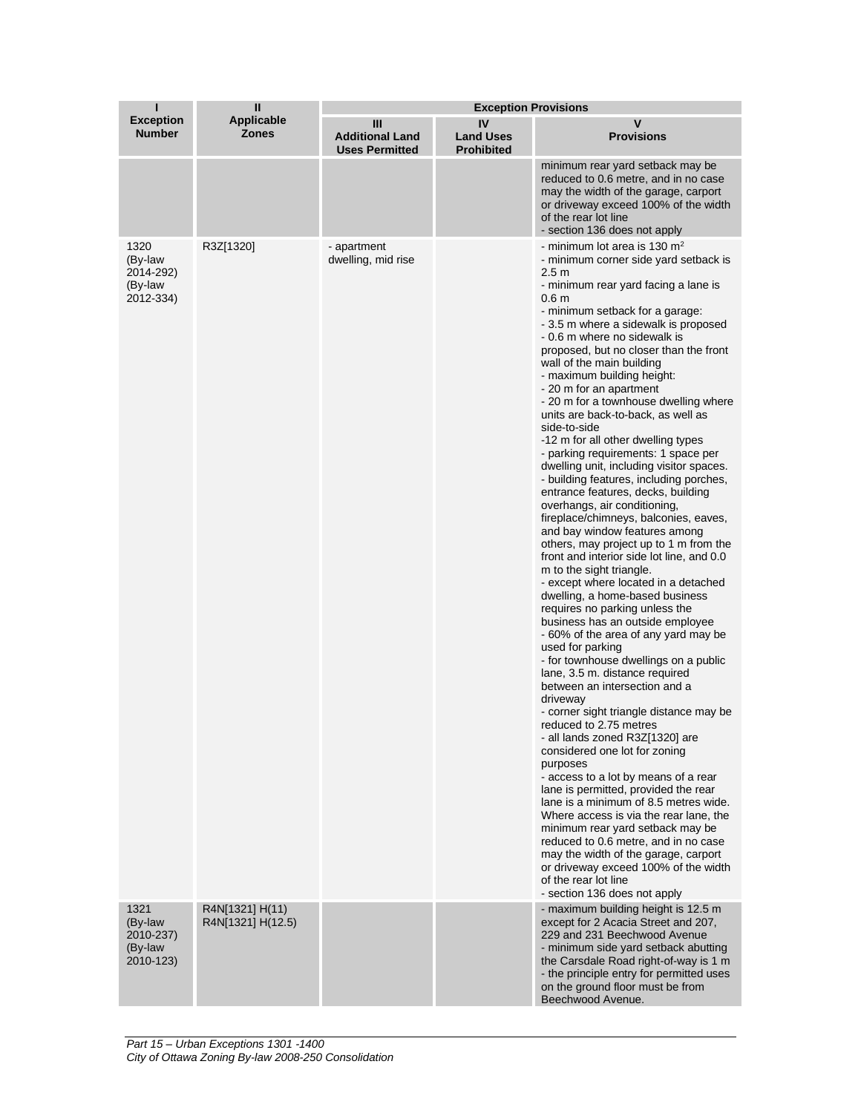| ī                                                    | $\mathbf{I}$                         | <b>Exception Provisions</b>                          |                                             |                                                                                                                                                                                                                                                                                                                                                                                                                                                                                                                                                                                                                                                                                                                                                                                                                                                                                                                                                                                                                                                                                                                                                                                                                                                                                                                                                                                                                                                                                                                                                                                                                                                                                                                                                                                                                           |  |
|------------------------------------------------------|--------------------------------------|------------------------------------------------------|---------------------------------------------|---------------------------------------------------------------------------------------------------------------------------------------------------------------------------------------------------------------------------------------------------------------------------------------------------------------------------------------------------------------------------------------------------------------------------------------------------------------------------------------------------------------------------------------------------------------------------------------------------------------------------------------------------------------------------------------------------------------------------------------------------------------------------------------------------------------------------------------------------------------------------------------------------------------------------------------------------------------------------------------------------------------------------------------------------------------------------------------------------------------------------------------------------------------------------------------------------------------------------------------------------------------------------------------------------------------------------------------------------------------------------------------------------------------------------------------------------------------------------------------------------------------------------------------------------------------------------------------------------------------------------------------------------------------------------------------------------------------------------------------------------------------------------------------------------------------------------|--|
| <b>Exception</b><br><b>Number</b>                    | <b>Applicable</b><br><b>Zones</b>    | Ш<br><b>Additional Land</b><br><b>Uses Permitted</b> | IV<br><b>Land Uses</b><br><b>Prohibited</b> | V<br><b>Provisions</b>                                                                                                                                                                                                                                                                                                                                                                                                                                                                                                                                                                                                                                                                                                                                                                                                                                                                                                                                                                                                                                                                                                                                                                                                                                                                                                                                                                                                                                                                                                                                                                                                                                                                                                                                                                                                    |  |
|                                                      |                                      |                                                      |                                             | minimum rear yard setback may be<br>reduced to 0.6 metre, and in no case<br>may the width of the garage, carport<br>or driveway exceed 100% of the width<br>of the rear lot line<br>- section 136 does not apply                                                                                                                                                                                                                                                                                                                                                                                                                                                                                                                                                                                                                                                                                                                                                                                                                                                                                                                                                                                                                                                                                                                                                                                                                                                                                                                                                                                                                                                                                                                                                                                                          |  |
| 1320<br>(By-law<br>2014-292)<br>(By-law<br>2012-334) | R3Z[1320]                            | - apartment<br>dwelling, mid rise                    |                                             | - minimum lot area is 130 $m2$<br>- minimum corner side yard setback is<br>2.5 <sub>m</sub><br>- minimum rear yard facing a lane is<br>0.6 <sub>m</sub><br>- minimum setback for a garage:<br>- 3.5 m where a sidewalk is proposed<br>- 0.6 m where no sidewalk is<br>proposed, but no closer than the front<br>wall of the main building<br>- maximum building height:<br>- 20 m for an apartment<br>- 20 m for a townhouse dwelling where<br>units are back-to-back, as well as<br>side-to-side<br>-12 m for all other dwelling types<br>- parking requirements: 1 space per<br>dwelling unit, including visitor spaces.<br>- building features, including porches,<br>entrance features, decks, building<br>overhangs, air conditioning,<br>fireplace/chimneys, balconies, eaves,<br>and bay window features among<br>others, may project up to 1 m from the<br>front and interior side lot line, and 0.0<br>m to the sight triangle.<br>- except where located in a detached<br>dwelling, a home-based business<br>requires no parking unless the<br>business has an outside employee<br>- 60% of the area of any yard may be<br>used for parking<br>- for townhouse dwellings on a public<br>lane, 3.5 m. distance required<br>between an intersection and a<br>driveway<br>- corner sight triangle distance may be<br>reduced to 2.75 metres<br>- all lands zoned R3Z[1320] are<br>considered one lot for zoning<br>purposes<br>- access to a lot by means of a rear<br>lane is permitted, provided the rear<br>lane is a minimum of 8.5 metres wide.<br>Where access is via the rear lane, the<br>minimum rear yard setback may be<br>reduced to 0.6 metre, and in no case<br>may the width of the garage, carport<br>or driveway exceed 100% of the width<br>of the rear lot line<br>- section 136 does not apply |  |
| 1321<br>(By-law<br>2010-237)<br>(By-law<br>2010-123) | R4N[1321] H(11)<br>R4N[1321] H(12.5) |                                                      |                                             | - maximum building height is 12.5 m<br>except for 2 Acacia Street and 207,<br>229 and 231 Beechwood Avenue<br>- minimum side yard setback abutting<br>the Carsdale Road right-of-way is 1 m<br>- the principle entry for permitted uses<br>on the ground floor must be from<br>Beechwood Avenue.                                                                                                                                                                                                                                                                                                                                                                                                                                                                                                                                                                                                                                                                                                                                                                                                                                                                                                                                                                                                                                                                                                                                                                                                                                                                                                                                                                                                                                                                                                                          |  |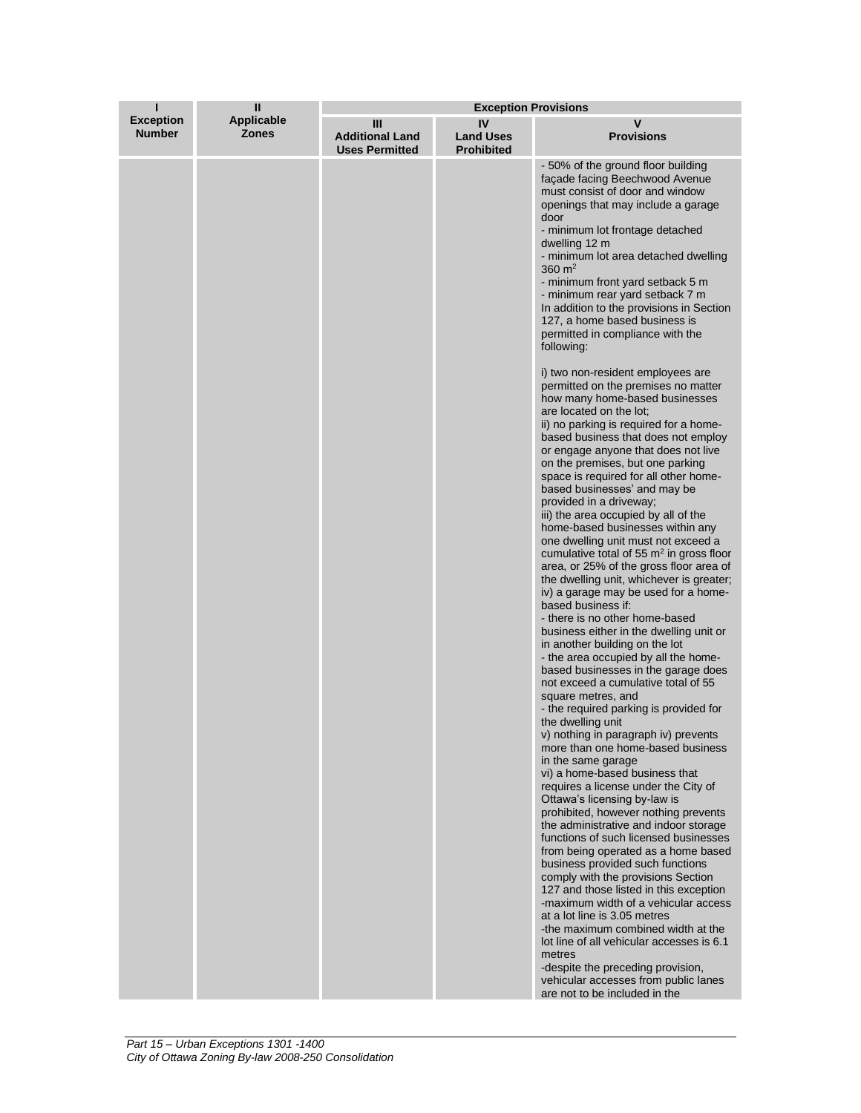| ī                                 | $\mathbf{I}$                      | <b>Exception Provisions</b>                          |                                             |                                                                                                                                                                                                                                                                                                                                                                                                                                                                                                                                                                                                                                                                                                                                                               |
|-----------------------------------|-----------------------------------|------------------------------------------------------|---------------------------------------------|---------------------------------------------------------------------------------------------------------------------------------------------------------------------------------------------------------------------------------------------------------------------------------------------------------------------------------------------------------------------------------------------------------------------------------------------------------------------------------------------------------------------------------------------------------------------------------------------------------------------------------------------------------------------------------------------------------------------------------------------------------------|
| <b>Exception</b><br><b>Number</b> | <b>Applicable</b><br><b>Zones</b> | Ш<br><b>Additional Land</b><br><b>Uses Permitted</b> | IV<br><b>Land Uses</b><br><b>Prohibited</b> | v<br><b>Provisions</b>                                                                                                                                                                                                                                                                                                                                                                                                                                                                                                                                                                                                                                                                                                                                        |
|                                   |                                   |                                                      |                                             | - 50% of the ground floor building<br>facade facing Beechwood Avenue<br>must consist of door and window<br>openings that may include a garage<br>door<br>- minimum lot frontage detached<br>dwelling 12 m<br>- minimum lot area detached dwelling<br>360 $m2$<br>- minimum front yard setback 5 m<br>- minimum rear yard setback 7 m<br>In addition to the provisions in Section<br>127, a home based business is<br>permitted in compliance with the<br>following:                                                                                                                                                                                                                                                                                           |
|                                   |                                   |                                                      |                                             | i) two non-resident employees are<br>permitted on the premises no matter<br>how many home-based businesses<br>are located on the lot;<br>ii) no parking is required for a home-<br>based business that does not employ<br>or engage anyone that does not live<br>on the premises, but one parking<br>space is required for all other home-<br>based businesses' and may be<br>provided in a driveway;<br>iii) the area occupied by all of the<br>home-based businesses within any<br>one dwelling unit must not exceed a<br>cumulative total of 55 $m2$ in gross floor<br>area, or 25% of the gross floor area of<br>the dwelling unit, whichever is greater;<br>iv) a garage may be used for a home-<br>based business if:<br>- there is no other home-based |
|                                   |                                   |                                                      |                                             | business either in the dwelling unit or<br>in another building on the lot<br>- the area occupied by all the home-<br>based businesses in the garage does<br>not exceed a cumulative total of 55<br>square metres, and<br>- the required parking is provided for<br>the dwelling unit<br>v) nothing in paragraph iv) prevents<br>more than one home-based business<br>in the same garage<br>vi) a home-based business that<br>requires a license under the City of<br>Ottawa's licensing by-law is<br>prohibited, however nothing prevents                                                                                                                                                                                                                     |
|                                   |                                   |                                                      |                                             | the administrative and indoor storage<br>functions of such licensed businesses<br>from being operated as a home based<br>business provided such functions<br>comply with the provisions Section<br>127 and those listed in this exception<br>-maximum width of a vehicular access<br>at a lot line is 3.05 metres<br>-the maximum combined width at the<br>lot line of all vehicular accesses is 6.1<br>metres<br>-despite the preceding provision,<br>vehicular accesses from public lanes<br>are not to be included in the                                                                                                                                                                                                                                  |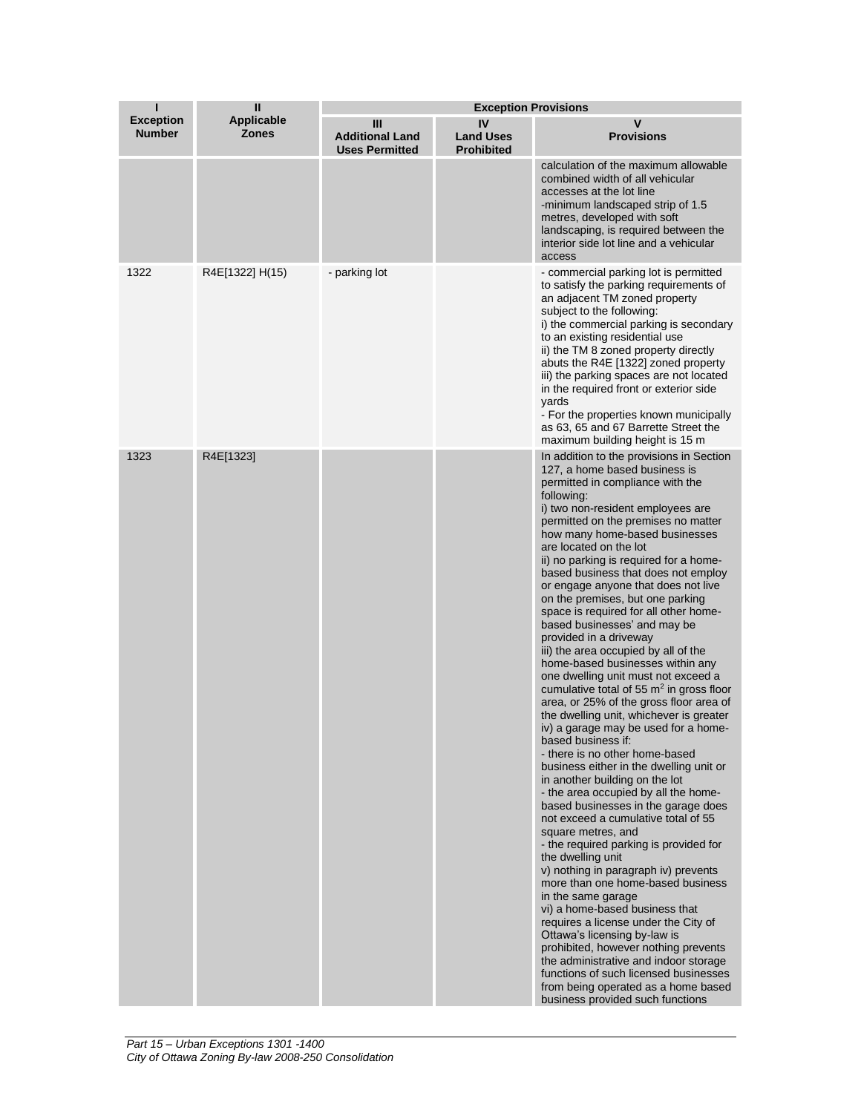| п                                 | Ш                                 |                                                      |                                             | <b>Exception Provisions</b>                                                                                                                                                                                                                                                                                                                                                                                                                                                                                                                                                                                                                                                                                                                                                                                                                                                                                                                                                                                                                                                                                                                                                                                                                                                                                                                                                                                                                                                                                                                                                                         |  |  |
|-----------------------------------|-----------------------------------|------------------------------------------------------|---------------------------------------------|-----------------------------------------------------------------------------------------------------------------------------------------------------------------------------------------------------------------------------------------------------------------------------------------------------------------------------------------------------------------------------------------------------------------------------------------------------------------------------------------------------------------------------------------------------------------------------------------------------------------------------------------------------------------------------------------------------------------------------------------------------------------------------------------------------------------------------------------------------------------------------------------------------------------------------------------------------------------------------------------------------------------------------------------------------------------------------------------------------------------------------------------------------------------------------------------------------------------------------------------------------------------------------------------------------------------------------------------------------------------------------------------------------------------------------------------------------------------------------------------------------------------------------------------------------------------------------------------------------|--|--|
| <b>Exception</b><br><b>Number</b> | <b>Applicable</b><br><b>Zones</b> | Ш<br><b>Additional Land</b><br><b>Uses Permitted</b> | IV<br><b>Land Uses</b><br><b>Prohibited</b> | v<br><b>Provisions</b>                                                                                                                                                                                                                                                                                                                                                                                                                                                                                                                                                                                                                                                                                                                                                                                                                                                                                                                                                                                                                                                                                                                                                                                                                                                                                                                                                                                                                                                                                                                                                                              |  |  |
|                                   |                                   |                                                      |                                             | calculation of the maximum allowable<br>combined width of all vehicular<br>accesses at the lot line<br>-minimum landscaped strip of 1.5<br>metres, developed with soft<br>landscaping, is required between the<br>interior side lot line and a vehicular<br>access                                                                                                                                                                                                                                                                                                                                                                                                                                                                                                                                                                                                                                                                                                                                                                                                                                                                                                                                                                                                                                                                                                                                                                                                                                                                                                                                  |  |  |
| 1322                              | R4E[1322] H(15)                   | - parking lot                                        |                                             | - commercial parking lot is permitted<br>to satisfy the parking requirements of<br>an adjacent TM zoned property<br>subject to the following:<br>i) the commercial parking is secondary<br>to an existing residential use<br>ii) the TM 8 zoned property directly<br>abuts the R4E [1322] zoned property<br>iii) the parking spaces are not located<br>in the required front or exterior side<br>yards<br>- For the properties known municipally<br>as 63, 65 and 67 Barrette Street the<br>maximum building height is 15 m                                                                                                                                                                                                                                                                                                                                                                                                                                                                                                                                                                                                                                                                                                                                                                                                                                                                                                                                                                                                                                                                         |  |  |
| 1323                              | R4E[1323]                         |                                                      |                                             | In addition to the provisions in Section<br>127, a home based business is<br>permitted in compliance with the<br>following:<br>i) two non-resident employees are<br>permitted on the premises no matter<br>how many home-based businesses<br>are located on the lot<br>ii) no parking is required for a home-<br>based business that does not employ<br>or engage anyone that does not live<br>on the premises, but one parking<br>space is required for all other home-<br>based businesses' and may be<br>provided in a driveway<br>iii) the area occupied by all of the<br>home-based businesses within any<br>one dwelling unit must not exceed a<br>cumulative total of 55 $m2$ in gross floor<br>area, or 25% of the gross floor area of<br>the dwelling unit, whichever is greater<br>iv) a garage may be used for a home-<br>based business if:<br>- there is no other home-based<br>business either in the dwelling unit or<br>in another building on the lot<br>- the area occupied by all the home-<br>based businesses in the garage does<br>not exceed a cumulative total of 55<br>square metres, and<br>- the required parking is provided for<br>the dwelling unit<br>v) nothing in paragraph iv) prevents<br>more than one home-based business<br>in the same garage<br>vi) a home-based business that<br>requires a license under the City of<br>Ottawa's licensing by-law is<br>prohibited, however nothing prevents<br>the administrative and indoor storage<br>functions of such licensed businesses<br>from being operated as a home based<br>business provided such functions |  |  |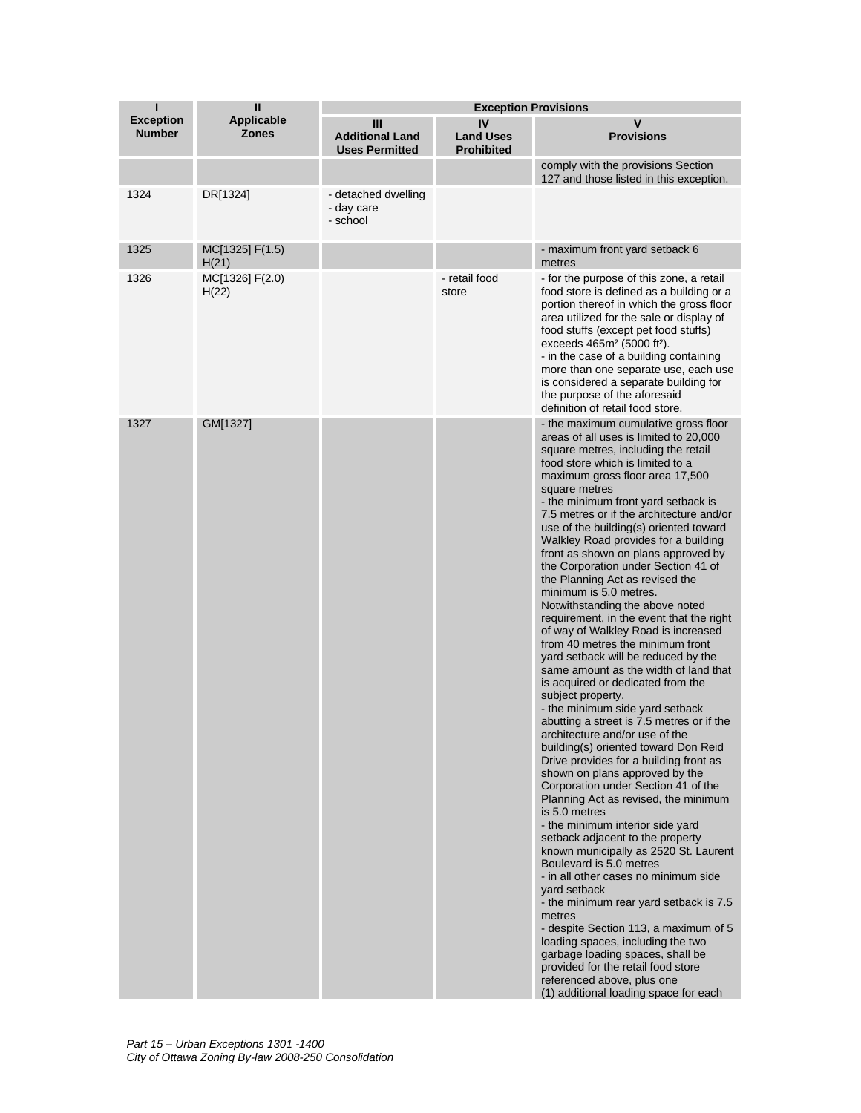| ı                                 | Ш                                 | <b>Exception Provisions</b>                          |                                             |                                                                                                                                                                                                                                                                                                                                                                                                                                                                                                                                                                                                                                                                                                                                                                                                                                                                                                                                                                                                                                                                                                                                                                                                                                                                                                                                                                                                                                                                                                                                                                                                                                                                |  |
|-----------------------------------|-----------------------------------|------------------------------------------------------|---------------------------------------------|----------------------------------------------------------------------------------------------------------------------------------------------------------------------------------------------------------------------------------------------------------------------------------------------------------------------------------------------------------------------------------------------------------------------------------------------------------------------------------------------------------------------------------------------------------------------------------------------------------------------------------------------------------------------------------------------------------------------------------------------------------------------------------------------------------------------------------------------------------------------------------------------------------------------------------------------------------------------------------------------------------------------------------------------------------------------------------------------------------------------------------------------------------------------------------------------------------------------------------------------------------------------------------------------------------------------------------------------------------------------------------------------------------------------------------------------------------------------------------------------------------------------------------------------------------------------------------------------------------------------------------------------------------------|--|
| <b>Exception</b><br><b>Number</b> | <b>Applicable</b><br><b>Zones</b> | Ш<br><b>Additional Land</b><br><b>Uses Permitted</b> | IV<br><b>Land Uses</b><br><b>Prohibited</b> | $\mathbf v$<br><b>Provisions</b>                                                                                                                                                                                                                                                                                                                                                                                                                                                                                                                                                                                                                                                                                                                                                                                                                                                                                                                                                                                                                                                                                                                                                                                                                                                                                                                                                                                                                                                                                                                                                                                                                               |  |
|                                   |                                   |                                                      |                                             | comply with the provisions Section<br>127 and those listed in this exception.                                                                                                                                                                                                                                                                                                                                                                                                                                                                                                                                                                                                                                                                                                                                                                                                                                                                                                                                                                                                                                                                                                                                                                                                                                                                                                                                                                                                                                                                                                                                                                                  |  |
| 1324                              | DR[1324]                          | - detached dwelling<br>- day care<br>- school        |                                             |                                                                                                                                                                                                                                                                                                                                                                                                                                                                                                                                                                                                                                                                                                                                                                                                                                                                                                                                                                                                                                                                                                                                                                                                                                                                                                                                                                                                                                                                                                                                                                                                                                                                |  |
| 1325                              | MC[1325] F(1.5)<br>H(21)          |                                                      |                                             | - maximum front yard setback 6<br>metres                                                                                                                                                                                                                                                                                                                                                                                                                                                                                                                                                                                                                                                                                                                                                                                                                                                                                                                                                                                                                                                                                                                                                                                                                                                                                                                                                                                                                                                                                                                                                                                                                       |  |
| 1326                              | MC[1326] F(2.0)<br>H(22)          |                                                      | - retail food<br>store                      | - for the purpose of this zone, a retail<br>food store is defined as a building or a<br>portion thereof in which the gross floor<br>area utilized for the sale or display of<br>food stuffs (except pet food stuffs)<br>exceeds 465m <sup>2</sup> (5000 ft <sup>2</sup> ).<br>- in the case of a building containing<br>more than one separate use, each use<br>is considered a separate building for<br>the purpose of the aforesaid<br>definition of retail food store.                                                                                                                                                                                                                                                                                                                                                                                                                                                                                                                                                                                                                                                                                                                                                                                                                                                                                                                                                                                                                                                                                                                                                                                      |  |
| 1327                              | GM[1327]                          |                                                      |                                             | - the maximum cumulative gross floor<br>areas of all uses is limited to 20,000<br>square metres, including the retail<br>food store which is limited to a<br>maximum gross floor area 17,500<br>square metres<br>- the minimum front yard setback is<br>7.5 metres or if the architecture and/or<br>use of the building(s) oriented toward<br>Walkley Road provides for a building<br>front as shown on plans approved by<br>the Corporation under Section 41 of<br>the Planning Act as revised the<br>minimum is 5.0 metres.<br>Notwithstanding the above noted<br>requirement, in the event that the right<br>of way of Walkley Road is increased<br>from 40 metres the minimum front<br>yard setback will be reduced by the<br>same amount as the width of land that<br>is acquired or dedicated from the<br>subject property.<br>- the minimum side yard setback<br>abutting a street is 7.5 metres or if the<br>architecture and/or use of the<br>building(s) oriented toward Don Reid<br>Drive provides for a building front as<br>shown on plans approved by the<br>Corporation under Section 41 of the<br>Planning Act as revised, the minimum<br>is 5.0 metres<br>- the minimum interior side yard<br>setback adjacent to the property<br>known municipally as 2520 St. Laurent<br>Boulevard is 5.0 metres<br>- in all other cases no minimum side<br>vard setback<br>- the minimum rear yard setback is 7.5<br>metres<br>- despite Section 113, a maximum of 5<br>loading spaces, including the two<br>garbage loading spaces, shall be<br>provided for the retail food store<br>referenced above, plus one<br>(1) additional loading space for each |  |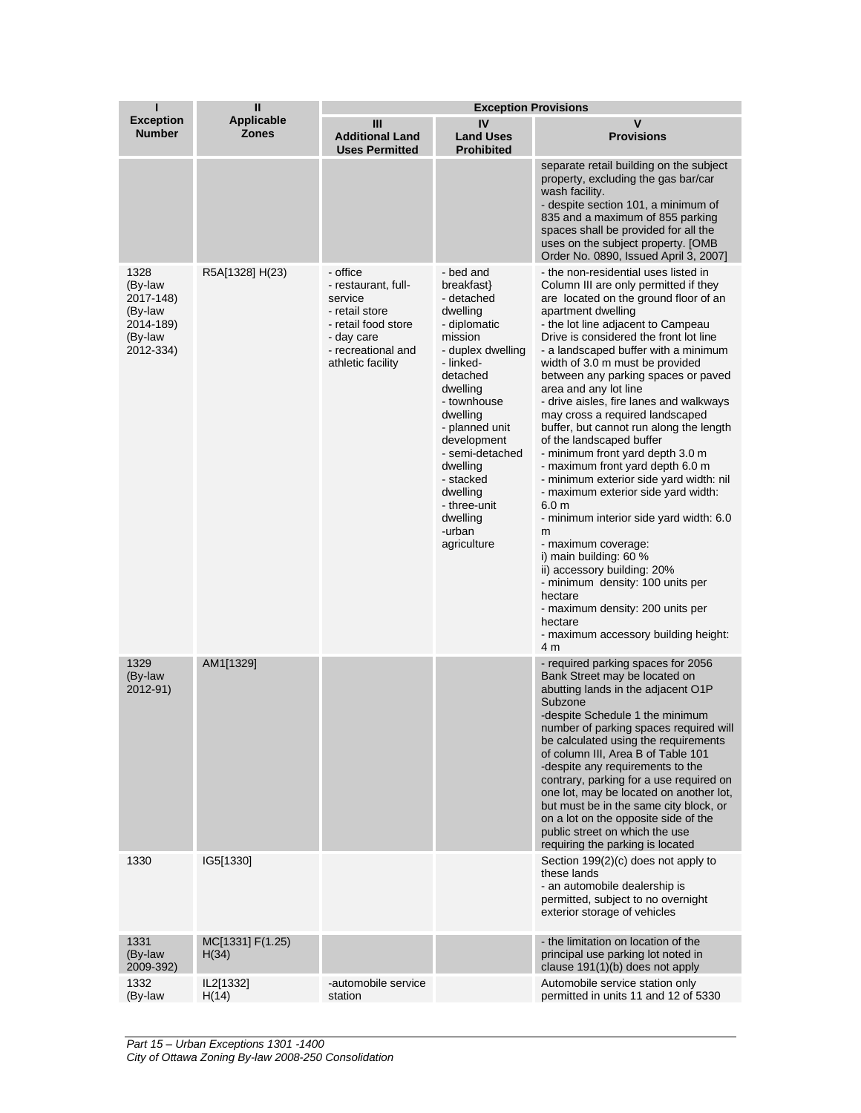| п                                                                            | $\mathbf{u}$                      | <b>Exception Provisions</b>                                                                                                                  |                                                                                                                                                                                                                                                                                                                 |                                                                                                                                                                                                                                                                                                                                                                                                                                                                                                                                                                                                                                                                                                                                                                                                                                                                                                                                                                                         |  |
|------------------------------------------------------------------------------|-----------------------------------|----------------------------------------------------------------------------------------------------------------------------------------------|-----------------------------------------------------------------------------------------------------------------------------------------------------------------------------------------------------------------------------------------------------------------------------------------------------------------|-----------------------------------------------------------------------------------------------------------------------------------------------------------------------------------------------------------------------------------------------------------------------------------------------------------------------------------------------------------------------------------------------------------------------------------------------------------------------------------------------------------------------------------------------------------------------------------------------------------------------------------------------------------------------------------------------------------------------------------------------------------------------------------------------------------------------------------------------------------------------------------------------------------------------------------------------------------------------------------------|--|
| <b>Exception</b><br><b>Number</b>                                            | <b>Applicable</b><br><b>Zones</b> | Ш<br><b>Additional Land</b><br><b>Uses Permitted</b>                                                                                         | IV<br><b>Land Uses</b><br><b>Prohibited</b>                                                                                                                                                                                                                                                                     | $\mathbf v$<br><b>Provisions</b>                                                                                                                                                                                                                                                                                                                                                                                                                                                                                                                                                                                                                                                                                                                                                                                                                                                                                                                                                        |  |
|                                                                              |                                   |                                                                                                                                              |                                                                                                                                                                                                                                                                                                                 | separate retail building on the subject<br>property, excluding the gas bar/car<br>wash facility.<br>- despite section 101, a minimum of<br>835 and a maximum of 855 parking<br>spaces shall be provided for all the<br>uses on the subject property. [OMB<br>Order No. 0890. Issued April 3, 20071                                                                                                                                                                                                                                                                                                                                                                                                                                                                                                                                                                                                                                                                                      |  |
| 1328<br>(By-law<br>2017-148)<br>(By-law<br>2014-189)<br>(By-law<br>2012-334) | R5A[1328] H(23)                   | - office<br>- restaurant, full-<br>service<br>- retail store<br>- retail food store<br>- day care<br>- recreational and<br>athletic facility | - bed and<br>breakfast}<br>- detached<br>dwelling<br>- diplomatic<br>mission<br>- duplex dwelling<br>- linked-<br>detached<br>dwelling<br>- townhouse<br>dwelling<br>- planned unit<br>development<br>- semi-detached<br>dwelling<br>- stacked<br>dwelling<br>- three-unit<br>dwelling<br>-urban<br>agriculture | - the non-residential uses listed in<br>Column III are only permitted if they<br>are located on the ground floor of an<br>apartment dwelling<br>- the lot line adjacent to Campeau<br>Drive is considered the front lot line<br>- a landscaped buffer with a minimum<br>width of 3.0 m must be provided<br>between any parking spaces or paved<br>area and any lot line<br>- drive aisles, fire lanes and walkways<br>may cross a required landscaped<br>buffer, but cannot run along the length<br>of the landscaped buffer<br>- minimum front yard depth 3.0 m<br>- maximum front yard depth 6.0 m<br>- minimum exterior side yard width: nil<br>- maximum exterior side yard width:<br>6.0 <sub>m</sub><br>- minimum interior side yard width: 6.0<br>m<br>- maximum coverage:<br>i) main building: 60 %<br>ii) accessory building: 20%<br>- minimum density: 100 units per<br>hectare<br>- maximum density: 200 units per<br>hectare<br>- maximum accessory building height:<br>4 m |  |
| 1329<br>(By-law<br>2012-91)                                                  | AM1[1329]                         |                                                                                                                                              |                                                                                                                                                                                                                                                                                                                 | - required parking spaces for 2056<br>Bank Street may be located on<br>abutting lands in the adjacent O1P<br>Subzone<br>-despite Schedule 1 the minimum<br>number of parking spaces required will<br>be calculated using the requirements<br>of column III, Area B of Table 101<br>-despite any requirements to the<br>contrary, parking for a use required on<br>one lot, may be located on another lot,<br>but must be in the same city block, or<br>on a lot on the opposite side of the<br>public street on which the use<br>requiring the parking is located                                                                                                                                                                                                                                                                                                                                                                                                                       |  |
| 1330                                                                         | IG5[1330]                         |                                                                                                                                              |                                                                                                                                                                                                                                                                                                                 | Section 199(2)(c) does not apply to<br>these lands<br>- an automobile dealership is<br>permitted, subject to no overnight<br>exterior storage of vehicles                                                                                                                                                                                                                                                                                                                                                                                                                                                                                                                                                                                                                                                                                                                                                                                                                               |  |
| 1331<br>(By-law<br>2009-392)                                                 | MC[1331] F(1.25)<br>H(34)         |                                                                                                                                              |                                                                                                                                                                                                                                                                                                                 | - the limitation on location of the<br>principal use parking lot noted in<br>clause 191(1)(b) does not apply                                                                                                                                                                                                                                                                                                                                                                                                                                                                                                                                                                                                                                                                                                                                                                                                                                                                            |  |
| 1332<br>(By-law                                                              | IL2[1332]<br>H(14)                | -automobile service<br>station                                                                                                               |                                                                                                                                                                                                                                                                                                                 | Automobile service station only<br>permitted in units 11 and 12 of 5330                                                                                                                                                                                                                                                                                                                                                                                                                                                                                                                                                                                                                                                                                                                                                                                                                                                                                                                 |  |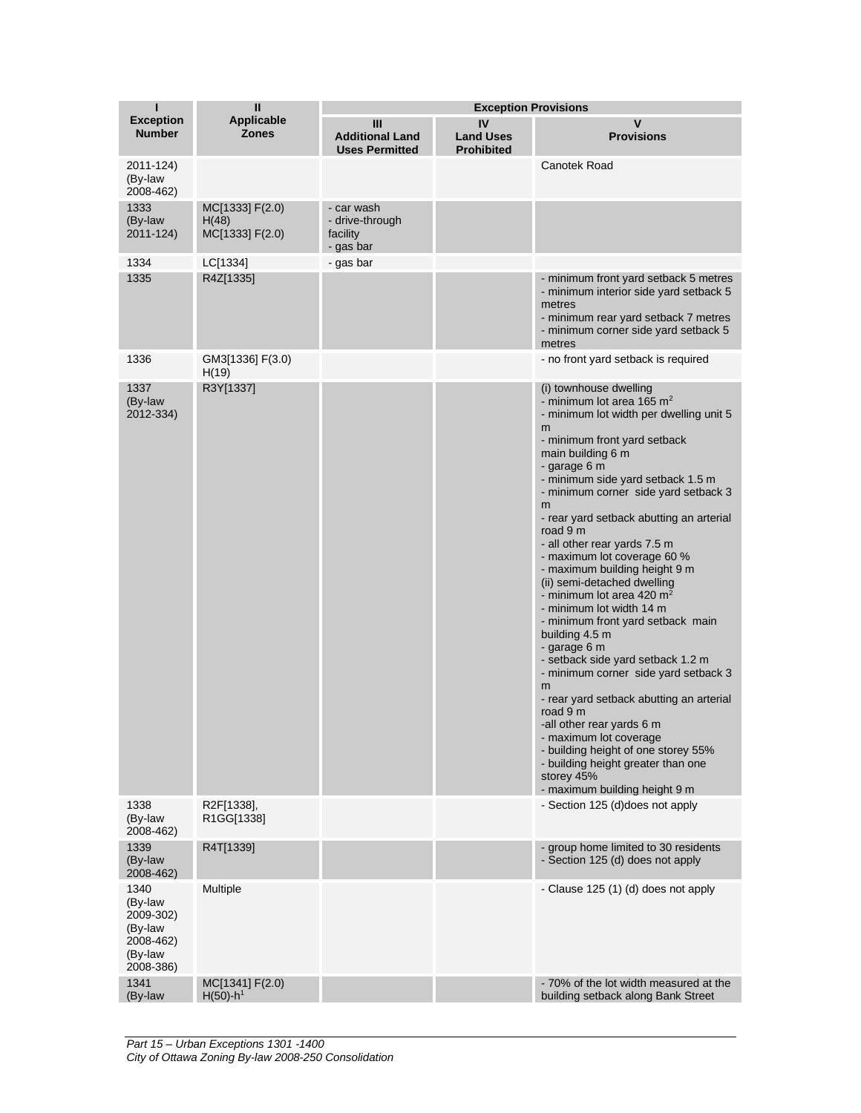| т                                                                            | $\mathbf{I}$                                |                                                        | <b>Exception Provisions</b>                 |                                                                                                                                                                                                                                                                                                                                                                                                                                                                                                                                                                                                                                                                                                                                                                                                                                                                                                                    |
|------------------------------------------------------------------------------|---------------------------------------------|--------------------------------------------------------|---------------------------------------------|--------------------------------------------------------------------------------------------------------------------------------------------------------------------------------------------------------------------------------------------------------------------------------------------------------------------------------------------------------------------------------------------------------------------------------------------------------------------------------------------------------------------------------------------------------------------------------------------------------------------------------------------------------------------------------------------------------------------------------------------------------------------------------------------------------------------------------------------------------------------------------------------------------------------|
| <b>Exception</b><br><b>Number</b>                                            | Applicable<br><b>Zones</b>                  | Ш<br><b>Additional Land</b><br><b>Uses Permitted</b>   | IV<br><b>Land Uses</b><br><b>Prohibited</b> | v<br><b>Provisions</b>                                                                                                                                                                                                                                                                                                                                                                                                                                                                                                                                                                                                                                                                                                                                                                                                                                                                                             |
| 2011-124)<br>(By-law<br>2008-462)                                            |                                             |                                                        |                                             | Canotek Road                                                                                                                                                                                                                                                                                                                                                                                                                                                                                                                                                                                                                                                                                                                                                                                                                                                                                                       |
| 1333<br>(By-law<br>2011-124)                                                 | MC[1333] F(2.0)<br>H(48)<br>MC[1333] F(2.0) | - car wash<br>- drive-through<br>facility<br>- gas bar |                                             |                                                                                                                                                                                                                                                                                                                                                                                                                                                                                                                                                                                                                                                                                                                                                                                                                                                                                                                    |
| 1334                                                                         | LC[1334]                                    | - gas bar                                              |                                             |                                                                                                                                                                                                                                                                                                                                                                                                                                                                                                                                                                                                                                                                                                                                                                                                                                                                                                                    |
| 1335                                                                         | R4Z[1335]                                   |                                                        |                                             | - minimum front yard setback 5 metres<br>- minimum interior side yard setback 5<br>metres<br>- minimum rear yard setback 7 metres<br>- minimum corner side yard setback 5<br>metres                                                                                                                                                                                                                                                                                                                                                                                                                                                                                                                                                                                                                                                                                                                                |
| 1336                                                                         | GM3[1336] F(3.0)<br>H(19)                   |                                                        |                                             | - no front yard setback is required                                                                                                                                                                                                                                                                                                                                                                                                                                                                                                                                                                                                                                                                                                                                                                                                                                                                                |
| 1337<br>(By-law<br>2012-334)                                                 | R3Y[1337]                                   |                                                        |                                             | (i) townhouse dwelling<br>- minimum lot area 165 $m2$<br>- minimum lot width per dwelling unit 5<br>m<br>- minimum front yard setback<br>main building 6 m<br>- garage 6 m<br>- minimum side yard setback 1.5 m<br>- minimum corner side yard setback 3<br>m<br>- rear yard setback abutting an arterial<br>road 9 m<br>- all other rear yards 7.5 m<br>- maximum lot coverage 60 %<br>- maximum building height 9 m<br>(ii) semi-detached dwelling<br>- minimum lot area 420 $m2$<br>- minimum lot width 14 m<br>- minimum front yard setback main<br>building 4.5 m<br>- garage 6 m<br>- setback side yard setback 1.2 m<br>- minimum corner side yard setback 3<br>m<br>- rear yard setback abutting an arterial<br>road 9 m<br>-all other rear yards 6 m<br>- maximum lot coverage<br>- building height of one storey 55%<br>- building height greater than one<br>storey 45%<br>- maximum building height 9 m |
| 1338<br>(By-law<br>2008-462)                                                 | R2F[1338],<br>R1GG[1338]                    |                                                        |                                             | - Section 125 (d)does not apply                                                                                                                                                                                                                                                                                                                                                                                                                                                                                                                                                                                                                                                                                                                                                                                                                                                                                    |
| 1339<br>(By-law<br>2008-462)                                                 | R4T[1339]                                   |                                                        |                                             | - group home limited to 30 residents<br>- Section 125 (d) does not apply                                                                                                                                                                                                                                                                                                                                                                                                                                                                                                                                                                                                                                                                                                                                                                                                                                           |
| 1340<br>(By-law<br>2009-302)<br>(By-law<br>2008-462)<br>(By-law<br>2008-386) | Multiple                                    |                                                        |                                             | - Clause 125 (1) (d) does not apply                                                                                                                                                                                                                                                                                                                                                                                                                                                                                                                                                                                                                                                                                                                                                                                                                                                                                |
| 1341<br>(By-law                                                              | MC[1341] F(2.0)<br>$H(50)$ -h <sup>1</sup>  |                                                        |                                             | - 70% of the lot width measured at the<br>building setback along Bank Street                                                                                                                                                                                                                                                                                                                                                                                                                                                                                                                                                                                                                                                                                                                                                                                                                                       |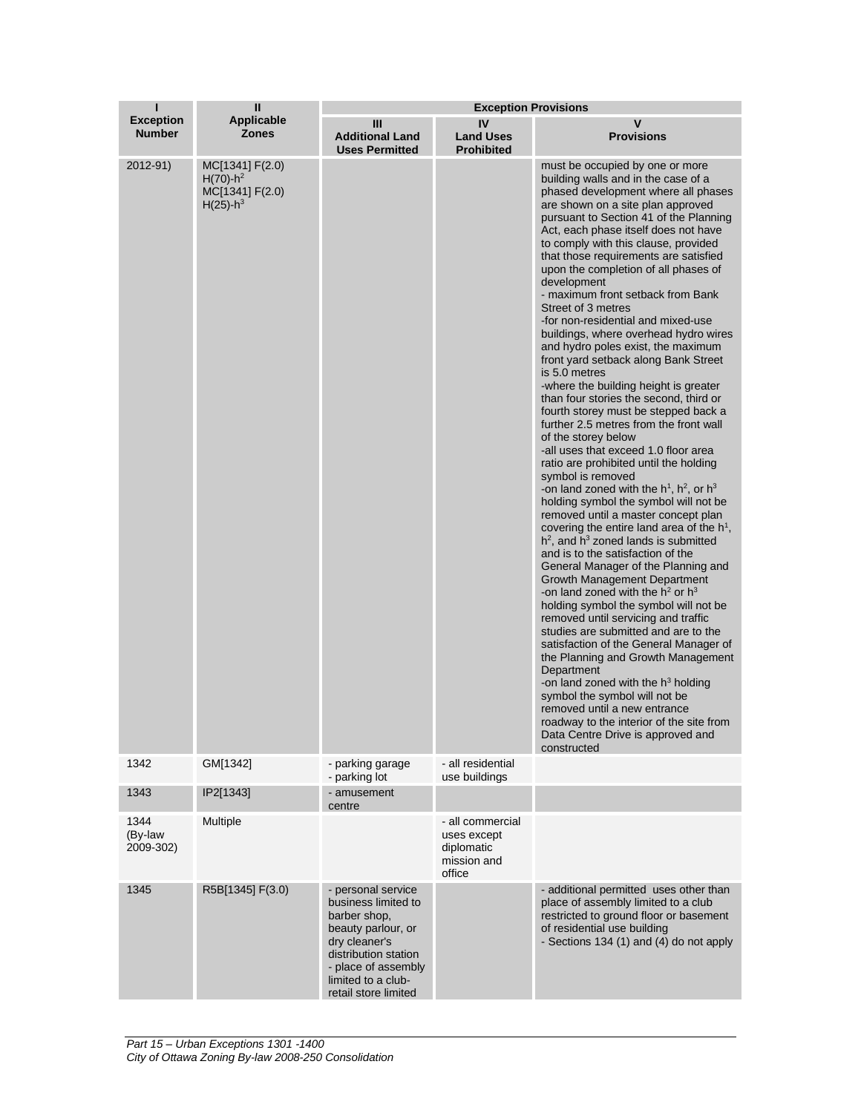| ī                                 | $\mathbf{I}$                                                                 |                                                                                                                                                                                               | <b>Exception Provisions</b>                                            |                                                                                                                                                                                                                                                                                                                                                                                                                                                                                                                                                                                                                                                                                                                                                                                                                                                                                                                                                                                                                                                                                                                                                                                                                                                                                                                                                                                                                                                                                                                                                                                                                                                                                                                                                 |
|-----------------------------------|------------------------------------------------------------------------------|-----------------------------------------------------------------------------------------------------------------------------------------------------------------------------------------------|------------------------------------------------------------------------|-------------------------------------------------------------------------------------------------------------------------------------------------------------------------------------------------------------------------------------------------------------------------------------------------------------------------------------------------------------------------------------------------------------------------------------------------------------------------------------------------------------------------------------------------------------------------------------------------------------------------------------------------------------------------------------------------------------------------------------------------------------------------------------------------------------------------------------------------------------------------------------------------------------------------------------------------------------------------------------------------------------------------------------------------------------------------------------------------------------------------------------------------------------------------------------------------------------------------------------------------------------------------------------------------------------------------------------------------------------------------------------------------------------------------------------------------------------------------------------------------------------------------------------------------------------------------------------------------------------------------------------------------------------------------------------------------------------------------------------------------|
| <b>Exception</b><br><b>Number</b> | Applicable<br><b>Zones</b>                                                   | Ш<br><b>Additional Land</b><br><b>Uses Permitted</b>                                                                                                                                          | IV<br><b>Land Uses</b><br><b>Prohibited</b>                            | v<br><b>Provisions</b>                                                                                                                                                                                                                                                                                                                                                                                                                                                                                                                                                                                                                                                                                                                                                                                                                                                                                                                                                                                                                                                                                                                                                                                                                                                                                                                                                                                                                                                                                                                                                                                                                                                                                                                          |
| 2012-91)                          | MC[1341] F(2.0)<br>$H(70)-h^2$<br>MC[1341] F(2.0)<br>$H(25)$ -h <sup>3</sup> |                                                                                                                                                                                               |                                                                        | must be occupied by one or more<br>building walls and in the case of a<br>phased development where all phases<br>are shown on a site plan approved<br>pursuant to Section 41 of the Planning<br>Act, each phase itself does not have<br>to comply with this clause, provided<br>that those requirements are satisfied<br>upon the completion of all phases of<br>development<br>- maximum front setback from Bank<br>Street of 3 metres<br>-for non-residential and mixed-use<br>buildings, where overhead hydro wires<br>and hydro poles exist, the maximum<br>front yard setback along Bank Street<br>is 5.0 metres<br>-where the building height is greater<br>than four stories the second, third or<br>fourth storey must be stepped back a<br>further 2.5 metres from the front wall<br>of the storey below<br>-all uses that exceed 1.0 floor area<br>ratio are prohibited until the holding<br>symbol is removed<br>-on land zoned with the $h^1$ , $h^2$ , or $h^3$<br>holding symbol the symbol will not be<br>removed until a master concept plan<br>covering the entire land area of the $h1$ ,<br>$h^2$ , and $h^3$ zoned lands is submitted<br>and is to the satisfaction of the<br>General Manager of the Planning and<br>Growth Management Department<br>-on land zoned with the $h^2$ or $h^3$<br>holding symbol the symbol will not be<br>removed until servicing and traffic<br>studies are submitted and are to the<br>satisfaction of the General Manager of<br>the Planning and Growth Management<br>Department<br>-on land zoned with the $h^3$ holding<br>symbol the symbol will not be<br>removed until a new entrance<br>roadway to the interior of the site from<br>Data Centre Drive is approved and<br>constructed |
| 1342                              | GM[1342]                                                                     | - parking garage<br>- parking lot                                                                                                                                                             | - all residential<br>use buildings                                     |                                                                                                                                                                                                                                                                                                                                                                                                                                                                                                                                                                                                                                                                                                                                                                                                                                                                                                                                                                                                                                                                                                                                                                                                                                                                                                                                                                                                                                                                                                                                                                                                                                                                                                                                                 |
| 1343                              | IP2[1343]                                                                    | - amusement<br>centre                                                                                                                                                                         |                                                                        |                                                                                                                                                                                                                                                                                                                                                                                                                                                                                                                                                                                                                                                                                                                                                                                                                                                                                                                                                                                                                                                                                                                                                                                                                                                                                                                                                                                                                                                                                                                                                                                                                                                                                                                                                 |
| 1344<br>(By-law<br>2009-302)      | Multiple                                                                     |                                                                                                                                                                                               | - all commercial<br>uses except<br>diplomatic<br>mission and<br>office |                                                                                                                                                                                                                                                                                                                                                                                                                                                                                                                                                                                                                                                                                                                                                                                                                                                                                                                                                                                                                                                                                                                                                                                                                                                                                                                                                                                                                                                                                                                                                                                                                                                                                                                                                 |
| 1345                              | R5B[1345] F(3.0)                                                             | - personal service<br>business limited to<br>barber shop,<br>beauty parlour, or<br>dry cleaner's<br>distribution station<br>- place of assembly<br>limited to a club-<br>retail store limited |                                                                        | - additional permitted uses other than<br>place of assembly limited to a club<br>restricted to ground floor or basement<br>of residential use building<br>- Sections 134 (1) and (4) do not apply                                                                                                                                                                                                                                                                                                                                                                                                                                                                                                                                                                                                                                                                                                                                                                                                                                                                                                                                                                                                                                                                                                                                                                                                                                                                                                                                                                                                                                                                                                                                               |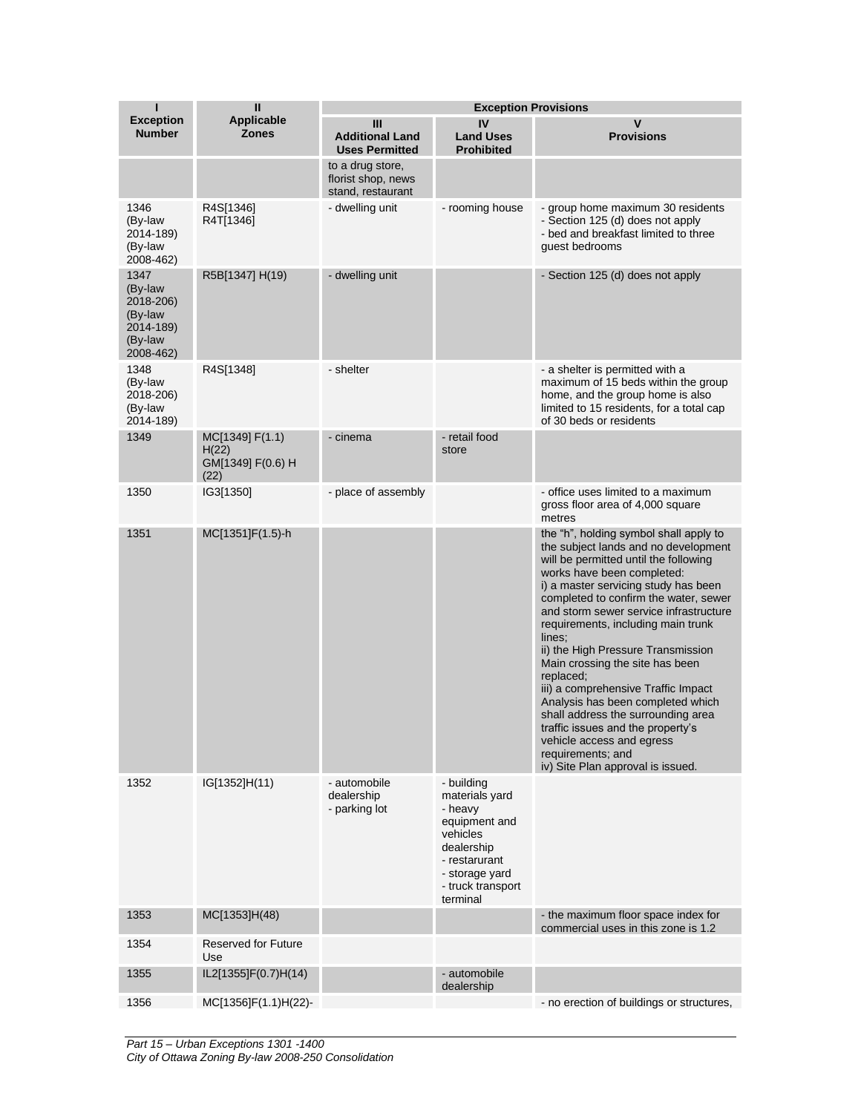| П                                                                            | $\mathbf{I}$                                          | <b>Exception Provisions</b>                                 |                                                                                                                                                        |                                                                                                                                                                                                                                                                                                                                                                                                                                                                                                                                                                                                                                                                      |  |
|------------------------------------------------------------------------------|-------------------------------------------------------|-------------------------------------------------------------|--------------------------------------------------------------------------------------------------------------------------------------------------------|----------------------------------------------------------------------------------------------------------------------------------------------------------------------------------------------------------------------------------------------------------------------------------------------------------------------------------------------------------------------------------------------------------------------------------------------------------------------------------------------------------------------------------------------------------------------------------------------------------------------------------------------------------------------|--|
| <b>Exception</b><br><b>Number</b>                                            | <b>Applicable</b><br><b>Zones</b>                     | Ш<br><b>Additional Land</b><br><b>Uses Permitted</b>        | IV<br><b>Land Uses</b><br><b>Prohibited</b>                                                                                                            | $\mathbf v$<br><b>Provisions</b>                                                                                                                                                                                                                                                                                                                                                                                                                                                                                                                                                                                                                                     |  |
|                                                                              |                                                       | to a drug store,<br>florist shop, news<br>stand, restaurant |                                                                                                                                                        |                                                                                                                                                                                                                                                                                                                                                                                                                                                                                                                                                                                                                                                                      |  |
| 1346<br>(By-law<br>2014-189)<br>(By-law<br>2008-462)                         | R4S[1346]<br>R4T[1346]                                | - dwelling unit                                             | - rooming house                                                                                                                                        | - group home maximum 30 residents<br>- Section 125 (d) does not apply<br>- bed and breakfast limited to three<br>guest bedrooms                                                                                                                                                                                                                                                                                                                                                                                                                                                                                                                                      |  |
| 1347<br>(By-law<br>2018-206)<br>(By-law<br>2014-189)<br>(By-law<br>2008-462) | R5B[1347] H(19)                                       | - dwelling unit                                             |                                                                                                                                                        | - Section 125 (d) does not apply                                                                                                                                                                                                                                                                                                                                                                                                                                                                                                                                                                                                                                     |  |
| 1348<br>(By-law<br>2018-206)<br>(By-law<br>2014-189)                         | R4S[1348]                                             | - shelter                                                   |                                                                                                                                                        | - a shelter is permitted with a<br>maximum of 15 beds within the group<br>home, and the group home is also<br>limited to 15 residents, for a total cap<br>of 30 beds or residents                                                                                                                                                                                                                                                                                                                                                                                                                                                                                    |  |
| 1349                                                                         | MC[1349] F(1.1)<br>H(22)<br>GM[1349] F(0.6) H<br>(22) | - cinema                                                    | - retail food<br>store                                                                                                                                 |                                                                                                                                                                                                                                                                                                                                                                                                                                                                                                                                                                                                                                                                      |  |
| 1350                                                                         | IG3[1350]                                             | - place of assembly                                         |                                                                                                                                                        | - office uses limited to a maximum<br>gross floor area of 4,000 square<br>metres                                                                                                                                                                                                                                                                                                                                                                                                                                                                                                                                                                                     |  |
| 1351                                                                         | MC[1351]F(1.5)-h                                      |                                                             |                                                                                                                                                        | the "h", holding symbol shall apply to<br>the subject lands and no development<br>will be permitted until the following<br>works have been completed:<br>i) a master servicing study has been<br>completed to confirm the water, sewer<br>and storm sewer service infrastructure<br>requirements, including main trunk<br>lines;<br>ii) the High Pressure Transmission<br>Main crossing the site has been<br>replaced;<br>iii) a comprehensive Traffic Impact<br>Analysis has been completed which<br>shall address the surrounding area<br>traffic issues and the property's<br>vehicle access and egress<br>requirements; and<br>iv) Site Plan approval is issued. |  |
| 1352                                                                         | IG[1352]H(11)                                         | - automobile<br>dealership<br>- parking lot                 | - building<br>materials yard<br>- heavy<br>equipment and<br>vehicles<br>dealership<br>- restarurant<br>- storage yard<br>- truck transport<br>terminal |                                                                                                                                                                                                                                                                                                                                                                                                                                                                                                                                                                                                                                                                      |  |
| 1353                                                                         | MC[1353]H(48)                                         |                                                             |                                                                                                                                                        | - the maximum floor space index for<br>commercial uses in this zone is 1.2                                                                                                                                                                                                                                                                                                                                                                                                                                                                                                                                                                                           |  |
| 1354                                                                         | <b>Reserved for Future</b><br>Use                     |                                                             |                                                                                                                                                        |                                                                                                                                                                                                                                                                                                                                                                                                                                                                                                                                                                                                                                                                      |  |
| 1355                                                                         | IL2[1355]F(0.7)H(14)                                  |                                                             | - automobile<br>dealership                                                                                                                             |                                                                                                                                                                                                                                                                                                                                                                                                                                                                                                                                                                                                                                                                      |  |
| 1356                                                                         | MC[1356]F(1.1)H(22)-                                  |                                                             |                                                                                                                                                        | - no erection of buildings or structures,                                                                                                                                                                                                                                                                                                                                                                                                                                                                                                                                                                                                                            |  |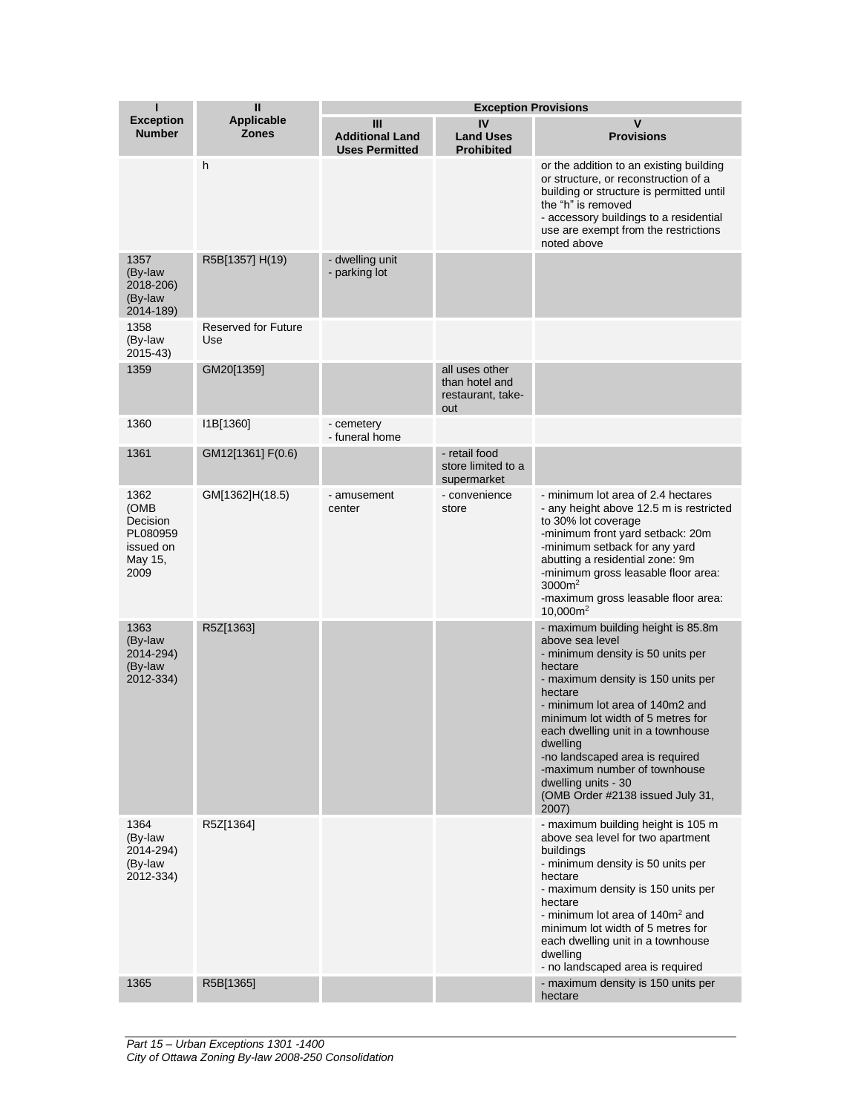| ı                                                                    | Ш<br><b>Applicable</b><br><b>Zones</b> | <b>Exception Provisions</b>                          |                                                              |                                                                                                                                                                                                                                                                                                                                                                                                                        |  |
|----------------------------------------------------------------------|----------------------------------------|------------------------------------------------------|--------------------------------------------------------------|------------------------------------------------------------------------------------------------------------------------------------------------------------------------------------------------------------------------------------------------------------------------------------------------------------------------------------------------------------------------------------------------------------------------|--|
| <b>Exception</b><br><b>Number</b>                                    |                                        | Ш<br><b>Additional Land</b><br><b>Uses Permitted</b> | IV<br><b>Land Uses</b><br><b>Prohibited</b>                  | $\mathbf v$<br><b>Provisions</b>                                                                                                                                                                                                                                                                                                                                                                                       |  |
|                                                                      | h                                      |                                                      |                                                              | or the addition to an existing building<br>or structure, or reconstruction of a<br>building or structure is permitted until<br>the "h" is removed<br>- accessory buildings to a residential<br>use are exempt from the restrictions<br>noted above                                                                                                                                                                     |  |
| 1357<br>(By-law<br>2018-206)<br>(By-law<br>2014-189)                 | R5B[1357] H(19)                        | - dwelling unit<br>- parking lot                     |                                                              |                                                                                                                                                                                                                                                                                                                                                                                                                        |  |
| 1358<br>(By-law<br>2015-43)                                          | <b>Reserved for Future</b><br>Use      |                                                      |                                                              |                                                                                                                                                                                                                                                                                                                                                                                                                        |  |
| 1359                                                                 | GM20[1359]                             |                                                      | all uses other<br>than hotel and<br>restaurant, take-<br>out |                                                                                                                                                                                                                                                                                                                                                                                                                        |  |
| 1360                                                                 | I1B[1360]                              | - cemetery<br>- funeral home                         |                                                              |                                                                                                                                                                                                                                                                                                                                                                                                                        |  |
| 1361                                                                 | GM12[1361] F(0.6)                      |                                                      | - retail food<br>store limited to a<br>supermarket           |                                                                                                                                                                                                                                                                                                                                                                                                                        |  |
| 1362<br>(OMB<br>Decision<br>PL080959<br>issued on<br>May 15,<br>2009 | GM[1362]H(18.5)                        | - amusement<br>center                                | - convenience<br>store                                       | - minimum lot area of 2.4 hectares<br>- any height above 12.5 m is restricted<br>to 30% lot coverage<br>-minimum front yard setback: 20m<br>-minimum setback for any yard<br>abutting a residential zone: 9m<br>-minimum gross leasable floor area:<br>$3000m^2$<br>-maximum gross leasable floor area:<br>$10,000m^2$                                                                                                 |  |
| 1363<br>(By-law<br>2014-294)<br>(By-law<br>2012-334)                 | R5Z[1363]                              |                                                      |                                                              | - maximum building height is 85.8m<br>above sea level<br>- minimum density is 50 units per<br>hectare<br>- maximum density is 150 units per<br>hectare<br>- minimum lot area of 140m2 and<br>minimum lot width of 5 metres for<br>each dwelling unit in a townhouse<br>dwelling<br>-no landscaped area is required<br>-maximum number of townhouse<br>dwelling units - 30<br>(OMB Order #2138 issued July 31,<br>2007) |  |
| 1364<br>(By-law<br>2014-294)<br>(By-law<br>2012-334)                 | R5Z[1364]                              |                                                      |                                                              | - maximum building height is 105 m<br>above sea level for two apartment<br>buildings<br>- minimum density is 50 units per<br>hectare<br>- maximum density is 150 units per<br>hectare<br>- minimum lot area of 140m <sup>2</sup> and<br>minimum lot width of 5 metres for<br>each dwelling unit in a townhouse<br>dwelling<br>- no landscaped area is required                                                         |  |
| 1365                                                                 | R5B[1365]                              |                                                      |                                                              | - maximum density is 150 units per<br>hectare                                                                                                                                                                                                                                                                                                                                                                          |  |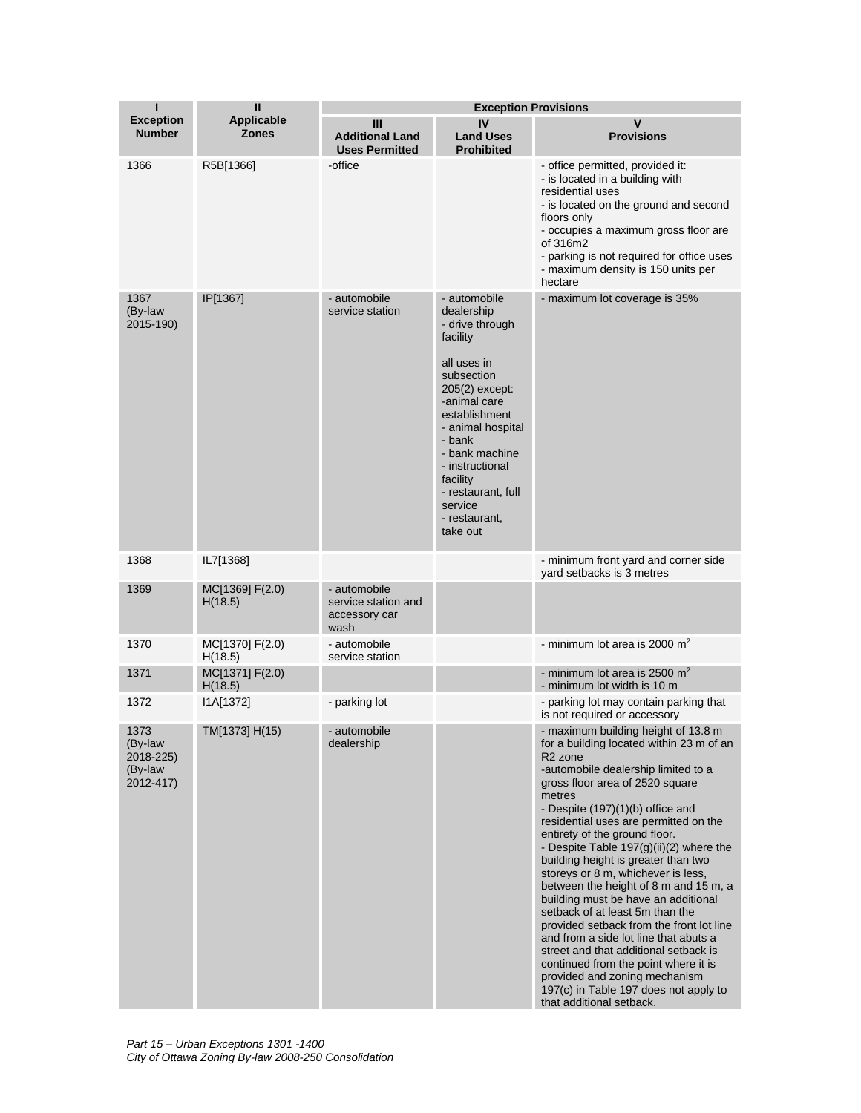| п                                                    | Ш                                 | <b>Exception Provisions</b>                                  |                                                                                                                                                                                                                                                                                         |                                                                                                                                                                                                                                                                                                                                                                                                                                                                                                                                                                                                                                                                                                                                                                                                                                   |  |
|------------------------------------------------------|-----------------------------------|--------------------------------------------------------------|-----------------------------------------------------------------------------------------------------------------------------------------------------------------------------------------------------------------------------------------------------------------------------------------|-----------------------------------------------------------------------------------------------------------------------------------------------------------------------------------------------------------------------------------------------------------------------------------------------------------------------------------------------------------------------------------------------------------------------------------------------------------------------------------------------------------------------------------------------------------------------------------------------------------------------------------------------------------------------------------------------------------------------------------------------------------------------------------------------------------------------------------|--|
| <b>Exception</b><br><b>Number</b>                    | <b>Applicable</b><br><b>Zones</b> | Ш<br><b>Additional Land</b><br><b>Uses Permitted</b>         | IV<br><b>Land Uses</b><br><b>Prohibited</b>                                                                                                                                                                                                                                             | $\mathsf{v}$<br><b>Provisions</b>                                                                                                                                                                                                                                                                                                                                                                                                                                                                                                                                                                                                                                                                                                                                                                                                 |  |
| 1366                                                 | R5B[1366]                         | -office                                                      |                                                                                                                                                                                                                                                                                         | - office permitted, provided it:<br>- is located in a building with<br>residential uses<br>- is located on the ground and second<br>floors only<br>- occupies a maximum gross floor are<br>of 316m2<br>- parking is not required for office uses<br>- maximum density is 150 units per<br>hectare                                                                                                                                                                                                                                                                                                                                                                                                                                                                                                                                 |  |
| 1367<br>(By-law<br>2015-190)                         | IP[1367]                          | - automobile<br>service station                              | - automobile<br>dealership<br>- drive through<br>facility<br>all uses in<br>subsection<br>205(2) except:<br>-animal care<br>establishment<br>- animal hospital<br>- bank<br>- bank machine<br>- instructional<br>facility<br>- restaurant, full<br>service<br>- restaurant,<br>take out | - maximum lot coverage is 35%                                                                                                                                                                                                                                                                                                                                                                                                                                                                                                                                                                                                                                                                                                                                                                                                     |  |
| 1368                                                 | IL7[1368]                         |                                                              |                                                                                                                                                                                                                                                                                         | - minimum front yard and corner side<br>yard setbacks is 3 metres                                                                                                                                                                                                                                                                                                                                                                                                                                                                                                                                                                                                                                                                                                                                                                 |  |
| 1369                                                 | MC[1369] F(2.0)<br>H(18.5)        | - automobile<br>service station and<br>accessory car<br>wash |                                                                                                                                                                                                                                                                                         |                                                                                                                                                                                                                                                                                                                                                                                                                                                                                                                                                                                                                                                                                                                                                                                                                                   |  |
| 1370                                                 | MC[1370] F(2.0)<br>H(18.5)        | - automobile<br>service station                              |                                                                                                                                                                                                                                                                                         | - minimum lot area is 2000 $m2$                                                                                                                                                                                                                                                                                                                                                                                                                                                                                                                                                                                                                                                                                                                                                                                                   |  |
| 1371                                                 | MC[1371] F(2.0)<br>H(18.5)        |                                                              |                                                                                                                                                                                                                                                                                         | - minimum lot area is 2500 $m2$<br>- minimum lot width is 10 m                                                                                                                                                                                                                                                                                                                                                                                                                                                                                                                                                                                                                                                                                                                                                                    |  |
| 1372                                                 | I1A[1372]                         | - parking lot                                                |                                                                                                                                                                                                                                                                                         | - parking lot may contain parking that<br>is not required or accessory                                                                                                                                                                                                                                                                                                                                                                                                                                                                                                                                                                                                                                                                                                                                                            |  |
| 1373<br>(By-law<br>2018-225)<br>(By-law<br>2012-417) | TM[1373] H(15)                    | - automobile<br>dealership                                   |                                                                                                                                                                                                                                                                                         | - maximum building height of 13.8 m<br>for a building located within 23 m of an<br>R <sub>2</sub> zone<br>-automobile dealership limited to a<br>gross floor area of 2520 square<br>metres<br>- Despite (197)(1)(b) office and<br>residential uses are permitted on the<br>entirety of the ground floor.<br>- Despite Table $197(g)(ii)(2)$ where the<br>building height is greater than two<br>storeys or 8 m, whichever is less,<br>between the height of 8 m and 15 m, a<br>building must be have an additional<br>setback of at least 5m than the<br>provided setback from the front lot line<br>and from a side lot line that abuts a<br>street and that additional setback is<br>continued from the point where it is<br>provided and zoning mechanism<br>197(c) in Table 197 does not apply to<br>that additional setback. |  |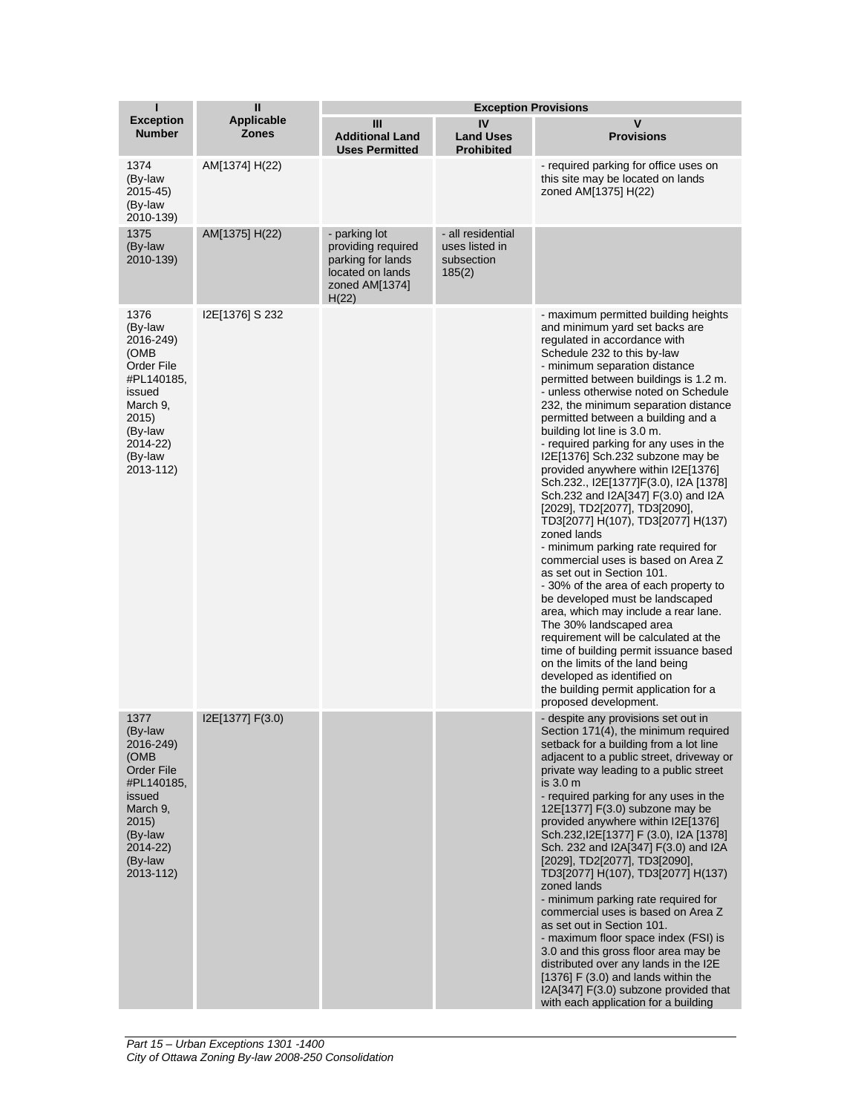| ī                                                                                                                                               | $\mathbf{I}$                      | <b>Exception Provisions</b>                                                                             |                                                             |                                                                                                                                                                                                                                                                                                                                                                                                                                                                                                                                                                                                                                                                                                                                                                                                                                                                                                                                                                                                                                                                                                                                               |  |  |
|-------------------------------------------------------------------------------------------------------------------------------------------------|-----------------------------------|---------------------------------------------------------------------------------------------------------|-------------------------------------------------------------|-----------------------------------------------------------------------------------------------------------------------------------------------------------------------------------------------------------------------------------------------------------------------------------------------------------------------------------------------------------------------------------------------------------------------------------------------------------------------------------------------------------------------------------------------------------------------------------------------------------------------------------------------------------------------------------------------------------------------------------------------------------------------------------------------------------------------------------------------------------------------------------------------------------------------------------------------------------------------------------------------------------------------------------------------------------------------------------------------------------------------------------------------|--|--|
| <b>Exception</b><br><b>Number</b>                                                                                                               | <b>Applicable</b><br><b>Zones</b> | Ш<br><b>Additional Land</b><br><b>Uses Permitted</b>                                                    | IV<br><b>Land Uses</b><br><b>Prohibited</b>                 | v<br><b>Provisions</b>                                                                                                                                                                                                                                                                                                                                                                                                                                                                                                                                                                                                                                                                                                                                                                                                                                                                                                                                                                                                                                                                                                                        |  |  |
| 1374<br>(By-law<br>2015-45)<br>(By-law<br>2010-139)                                                                                             | AM[1374] H(22)                    |                                                                                                         |                                                             | - required parking for office uses on<br>this site may be located on lands<br>zoned AM[1375] H(22)                                                                                                                                                                                                                                                                                                                                                                                                                                                                                                                                                                                                                                                                                                                                                                                                                                                                                                                                                                                                                                            |  |  |
| 1375<br>(By-law<br>2010-139)                                                                                                                    | AM[1375] H(22)                    | - parking lot<br>providing required<br>parking for lands<br>located on lands<br>zoned AM[1374]<br>H(22) | - all residential<br>uses listed in<br>subsection<br>185(2) |                                                                                                                                                                                                                                                                                                                                                                                                                                                                                                                                                                                                                                                                                                                                                                                                                                                                                                                                                                                                                                                                                                                                               |  |  |
| 1376<br>(By-law<br>2016-249)<br>(OMB)<br>Order File<br>#PL140185.<br>issued<br>March 9,<br>2015)<br>(By-law<br>2014-22)<br>(By-law<br>2013-112) | I2E[1376] S 232                   |                                                                                                         |                                                             | - maximum permitted building heights<br>and minimum yard set backs are<br>regulated in accordance with<br>Schedule 232 to this by-law<br>- minimum separation distance<br>permitted between buildings is 1.2 m.<br>- unless otherwise noted on Schedule<br>232, the minimum separation distance<br>permitted between a building and a<br>building lot line is 3.0 m.<br>- required parking for any uses in the<br>I2E[1376] Sch.232 subzone may be<br>provided anywhere within I2E[1376]<br>Sch.232., I2E[1377]F(3.0), I2A [1378]<br>Sch.232 and I2A[347] F(3.0) and I2A<br>[2029], TD2[2077], TD3[2090],<br>TD3[2077] H(107), TD3[2077] H(137)<br>zoned lands<br>- minimum parking rate required for<br>commercial uses is based on Area Z<br>as set out in Section 101.<br>-30% of the area of each property to<br>be developed must be landscaped<br>area, which may include a rear lane.<br>The 30% landscaped area<br>requirement will be calculated at the<br>time of building permit issuance based<br>on the limits of the land being<br>developed as identified on<br>the building permit application for a<br>proposed development. |  |  |
| 1377<br>(By-law<br>2016-249)<br>(OMB)<br>Order File<br>#PL140185,<br>issued<br>March 9,<br>2015)<br>(By-law<br>2014-22)<br>(By-law<br>2013-112) | I2E[1377] F(3.0)                  |                                                                                                         |                                                             | - despite any provisions set out in<br>Section 171(4), the minimum required<br>setback for a building from a lot line<br>adjacent to a public street, driveway or<br>private way leading to a public street<br>is $3.0m$<br>- required parking for any uses in the<br>12E[1377] F(3.0) subzone may be<br>provided anywhere within I2E[1376]<br>Sch.232, I2E[1377] F (3.0), I2A [1378]<br>Sch. 232 and I2A[347] F(3.0) and I2A<br>[2029], TD2[2077], TD3[2090],<br>TD3[2077] H(107), TD3[2077] H(137)<br>zoned lands<br>- minimum parking rate required for<br>commercial uses is based on Area Z<br>as set out in Section 101.<br>- maximum floor space index (FSI) is<br>3.0 and this gross floor area may be<br>distributed over any lands in the I2E<br>[1376] F $(3.0)$ and lands within the<br>I2A[347] F(3.0) subzone provided that<br>with each application for a building                                                                                                                                                                                                                                                             |  |  |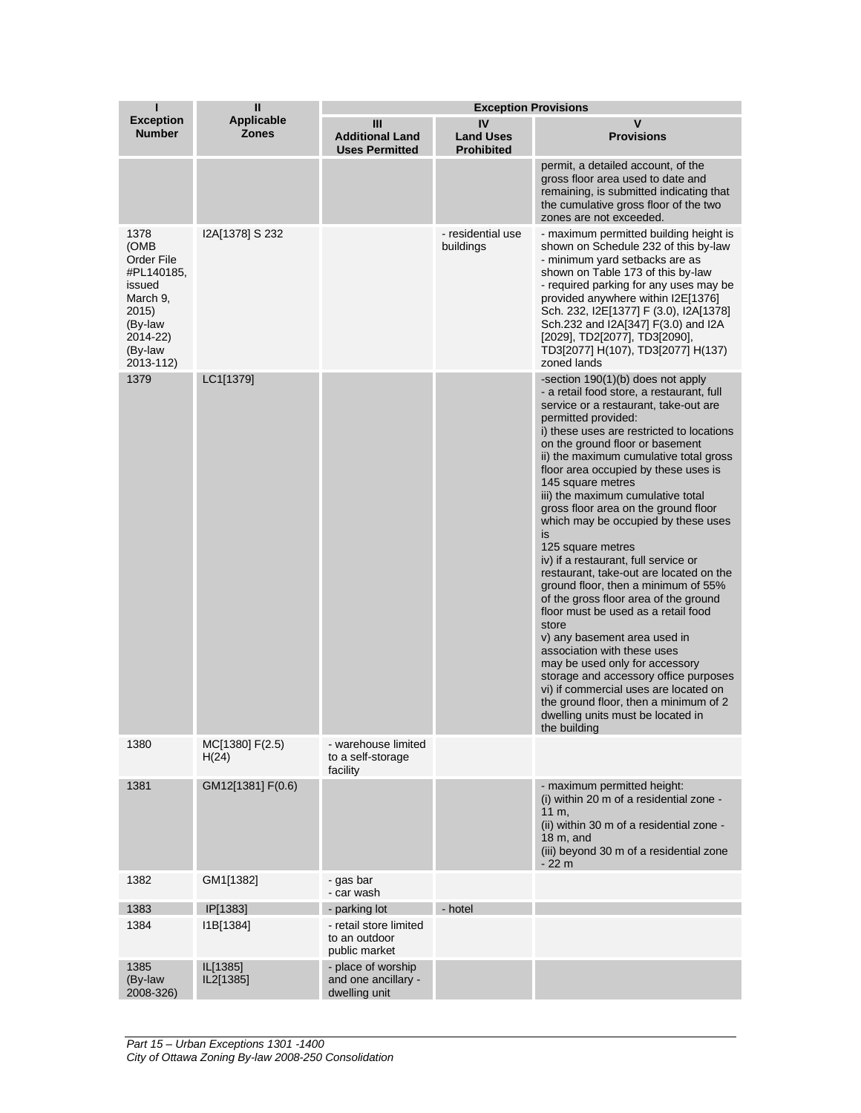| П                                                                                                                      | $\mathbf{I}$                      | <b>Exception Provisions</b>                                |                                             |                                                                                                                                                                                                                                                                                                                                                                                                                                                                                                                                                                                                                                                                                                                                                                                                                                                                                                                                                                                          |  |
|------------------------------------------------------------------------------------------------------------------------|-----------------------------------|------------------------------------------------------------|---------------------------------------------|------------------------------------------------------------------------------------------------------------------------------------------------------------------------------------------------------------------------------------------------------------------------------------------------------------------------------------------------------------------------------------------------------------------------------------------------------------------------------------------------------------------------------------------------------------------------------------------------------------------------------------------------------------------------------------------------------------------------------------------------------------------------------------------------------------------------------------------------------------------------------------------------------------------------------------------------------------------------------------------|--|
| <b>Exception</b><br><b>Number</b>                                                                                      | <b>Applicable</b><br><b>Zones</b> | Ш<br><b>Additional Land</b><br><b>Uses Permitted</b>       | IV<br><b>Land Uses</b><br><b>Prohibited</b> | v<br><b>Provisions</b>                                                                                                                                                                                                                                                                                                                                                                                                                                                                                                                                                                                                                                                                                                                                                                                                                                                                                                                                                                   |  |
|                                                                                                                        |                                   |                                                            |                                             | permit, a detailed account, of the<br>gross floor area used to date and<br>remaining, is submitted indicating that<br>the cumulative gross floor of the two<br>zones are not exceeded.                                                                                                                                                                                                                                                                                                                                                                                                                                                                                                                                                                                                                                                                                                                                                                                                   |  |
| 1378<br>(OMB<br>Order File<br>#PL140185,<br>issued<br>March 9,<br>2015)<br>(By-law<br>2014-22)<br>(By-law<br>2013-112) | I2A[1378] S 232                   |                                                            | - residential use<br>buildings              | - maximum permitted building height is<br>shown on Schedule 232 of this by-law<br>- minimum yard setbacks are as<br>shown on Table 173 of this by-law<br>- required parking for any uses may be<br>provided anywhere within I2E[1376]<br>Sch. 232, I2E[1377] F (3.0), I2A[1378]<br>Sch.232 and I2A[347] F(3.0) and I2A<br>[2029], TD2[2077], TD3[2090],<br>TD3[2077] H(107), TD3[2077] H(137)<br>zoned lands                                                                                                                                                                                                                                                                                                                                                                                                                                                                                                                                                                             |  |
| 1379                                                                                                                   | LC1[1379]                         |                                                            |                                             | -section 190(1)(b) does not apply<br>- a retail food store, a restaurant, full<br>service or a restaurant, take-out are<br>permitted provided:<br>i) these uses are restricted to locations<br>on the ground floor or basement<br>ii) the maximum cumulative total gross<br>floor area occupied by these uses is<br>145 square metres<br>iii) the maximum cumulative total<br>gross floor area on the ground floor<br>which may be occupied by these uses<br>is<br>125 square metres<br>iv) if a restaurant, full service or<br>restaurant, take-out are located on the<br>ground floor, then a minimum of 55%<br>of the gross floor area of the ground<br>floor must be used as a retail food<br>store<br>v) any basement area used in<br>association with these uses<br>may be used only for accessory<br>storage and accessory office purposes<br>vi) if commercial uses are located on<br>the ground floor, then a minimum of 2<br>dwelling units must be located in<br>the building |  |
| 1380                                                                                                                   | MC[1380] F(2.5)<br>H(24)          | - warehouse limited<br>to a self-storage<br>facility       |                                             |                                                                                                                                                                                                                                                                                                                                                                                                                                                                                                                                                                                                                                                                                                                                                                                                                                                                                                                                                                                          |  |
| 1381                                                                                                                   | GM12[1381] F(0.6)                 |                                                            |                                             | - maximum permitted height:<br>(i) within 20 m of a residential zone -<br>11 m.<br>(ii) within 30 m of a residential zone -<br>18 m, and<br>(iii) beyond 30 m of a residential zone<br>- 22 m                                                                                                                                                                                                                                                                                                                                                                                                                                                                                                                                                                                                                                                                                                                                                                                            |  |
| 1382                                                                                                                   | GM1[1382]                         | - gas bar<br>- car wash                                    |                                             |                                                                                                                                                                                                                                                                                                                                                                                                                                                                                                                                                                                                                                                                                                                                                                                                                                                                                                                                                                                          |  |
| 1383                                                                                                                   | IP[1383]                          | - parking lot                                              | - hotel                                     |                                                                                                                                                                                                                                                                                                                                                                                                                                                                                                                                                                                                                                                                                                                                                                                                                                                                                                                                                                                          |  |
| 1384                                                                                                                   | I1B[1384]                         | - retail store limited<br>to an outdoor<br>public market   |                                             |                                                                                                                                                                                                                                                                                                                                                                                                                                                                                                                                                                                                                                                                                                                                                                                                                                                                                                                                                                                          |  |
| 1385<br>(By-law<br>2008-326)                                                                                           | IL[1385]<br>IL2[1385]             | - place of worship<br>and one ancillary -<br>dwelling unit |                                             |                                                                                                                                                                                                                                                                                                                                                                                                                                                                                                                                                                                                                                                                                                                                                                                                                                                                                                                                                                                          |  |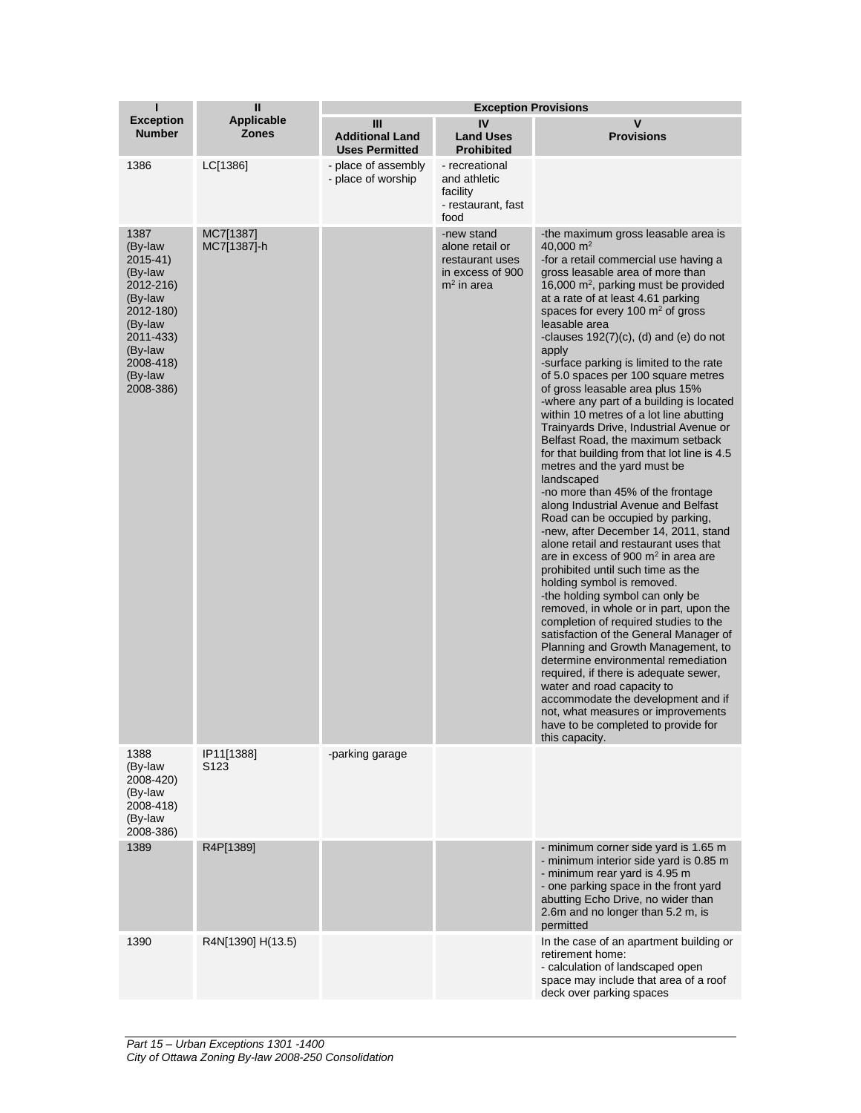| ī                                                                                                                                                   | $\mathbf{I}$                      | <b>Exception Provisions</b>                          |                                                                                      |                                                                                                                                                                                                                                                                                                                                                                                                                                                                                                                                                                                                                                                                                                                                                                                                                                                                                                                                                                                                                                                                                                                                                                                                                                                                                                                                                                                                                                                                                            |  |
|-----------------------------------------------------------------------------------------------------------------------------------------------------|-----------------------------------|------------------------------------------------------|--------------------------------------------------------------------------------------|--------------------------------------------------------------------------------------------------------------------------------------------------------------------------------------------------------------------------------------------------------------------------------------------------------------------------------------------------------------------------------------------------------------------------------------------------------------------------------------------------------------------------------------------------------------------------------------------------------------------------------------------------------------------------------------------------------------------------------------------------------------------------------------------------------------------------------------------------------------------------------------------------------------------------------------------------------------------------------------------------------------------------------------------------------------------------------------------------------------------------------------------------------------------------------------------------------------------------------------------------------------------------------------------------------------------------------------------------------------------------------------------------------------------------------------------------------------------------------------------|--|
| <b>Exception</b><br><b>Number</b>                                                                                                                   | <b>Applicable</b><br><b>Zones</b> | Ш<br><b>Additional Land</b><br><b>Uses Permitted</b> | IV<br><b>Land Uses</b><br><b>Prohibited</b>                                          | $\mathbf v$<br><b>Provisions</b>                                                                                                                                                                                                                                                                                                                                                                                                                                                                                                                                                                                                                                                                                                                                                                                                                                                                                                                                                                                                                                                                                                                                                                                                                                                                                                                                                                                                                                                           |  |
| 1386                                                                                                                                                | LC[1386]                          | - place of assembly<br>- place of worship            | - recreational<br>and athletic<br>facility<br>- restaurant, fast<br>food             |                                                                                                                                                                                                                                                                                                                                                                                                                                                                                                                                                                                                                                                                                                                                                                                                                                                                                                                                                                                                                                                                                                                                                                                                                                                                                                                                                                                                                                                                                            |  |
| 1387<br>(By-law<br>2015-41)<br>(By-law<br>2012-216)<br>(By-law<br>2012-180)<br>(By-law<br>2011-433)<br>(By-law<br>2008-418)<br>(By-law<br>2008-386) | MC7[1387]<br>MC7[1387]-h          |                                                      | -new stand<br>alone retail or<br>restaurant uses<br>in excess of 900<br>$m2$ in area | -the maximum gross leasable area is<br>40,000 $m2$<br>-for a retail commercial use having a<br>gross leasable area of more than<br>16,000 $m^2$ , parking must be provided<br>at a rate of at least 4.61 parking<br>spaces for every 100 $m2$ of gross<br>leasable area<br>-clauses $192(7)(c)$ , (d) and (e) do not<br>apply<br>-surface parking is limited to the rate<br>of 5.0 spaces per 100 square metres<br>of gross leasable area plus 15%<br>-where any part of a building is located<br>within 10 metres of a lot line abutting<br>Trainyards Drive, Industrial Avenue or<br>Belfast Road, the maximum setback<br>for that building from that lot line is 4.5<br>metres and the yard must be<br>landscaped<br>-no more than 45% of the frontage<br>along Industrial Avenue and Belfast<br>Road can be occupied by parking,<br>-new, after December 14, 2011, stand<br>alone retail and restaurant uses that<br>are in excess of 900 $m2$ in area are<br>prohibited until such time as the<br>holding symbol is removed.<br>-the holding symbol can only be<br>removed, in whole or in part, upon the<br>completion of required studies to the<br>satisfaction of the General Manager of<br>Planning and Growth Management, to<br>determine environmental remediation<br>required, if there is adequate sewer,<br>water and road capacity to<br>accommodate the development and if<br>not, what measures or improvements<br>have to be completed to provide for<br>this capacity. |  |
| 1388<br>(By-law<br>2008-420)<br>(By-law<br>2008-418)<br>(By-law<br>2008-386)                                                                        | IP11[1388]<br>S <sub>123</sub>    | -parking garage                                      |                                                                                      |                                                                                                                                                                                                                                                                                                                                                                                                                                                                                                                                                                                                                                                                                                                                                                                                                                                                                                                                                                                                                                                                                                                                                                                                                                                                                                                                                                                                                                                                                            |  |
| 1389                                                                                                                                                | R4P[1389]                         |                                                      |                                                                                      | - minimum corner side yard is 1.65 m<br>- minimum interior side yard is 0.85 m<br>- minimum rear yard is 4.95 m<br>- one parking space in the front yard<br>abutting Echo Drive, no wider than<br>2.6m and no longer than 5.2 m, is<br>permitted                                                                                                                                                                                                                                                                                                                                                                                                                                                                                                                                                                                                                                                                                                                                                                                                                                                                                                                                                                                                                                                                                                                                                                                                                                           |  |
| 1390                                                                                                                                                | R4N[1390] H(13.5)                 |                                                      |                                                                                      | In the case of an apartment building or<br>retirement home:<br>- calculation of landscaped open<br>space may include that area of a roof<br>deck over parking spaces                                                                                                                                                                                                                                                                                                                                                                                                                                                                                                                                                                                                                                                                                                                                                                                                                                                                                                                                                                                                                                                                                                                                                                                                                                                                                                                       |  |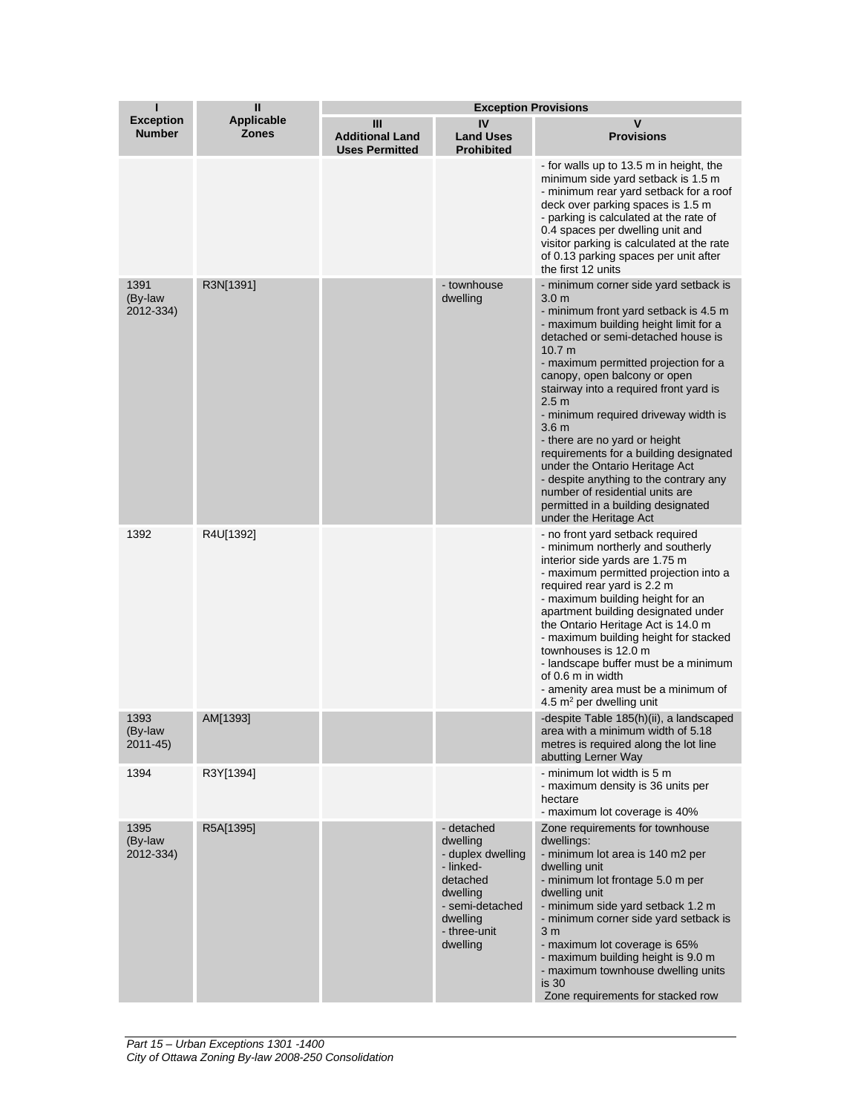| ı                                 | $\mathbf{I}$<br><b>Applicable</b><br><b>Zones</b> | <b>Exception Provisions</b>                          |                                                                                                                                             |                                                                                                                                                                                                                                                                                                                                                                                                                                                                                                                                                                                                                                              |  |
|-----------------------------------|---------------------------------------------------|------------------------------------------------------|---------------------------------------------------------------------------------------------------------------------------------------------|----------------------------------------------------------------------------------------------------------------------------------------------------------------------------------------------------------------------------------------------------------------------------------------------------------------------------------------------------------------------------------------------------------------------------------------------------------------------------------------------------------------------------------------------------------------------------------------------------------------------------------------------|--|
| <b>Exception</b><br><b>Number</b> |                                                   | Ш<br><b>Additional Land</b><br><b>Uses Permitted</b> | IV<br><b>Land Uses</b><br><b>Prohibited</b>                                                                                                 | v<br><b>Provisions</b>                                                                                                                                                                                                                                                                                                                                                                                                                                                                                                                                                                                                                       |  |
|                                   |                                                   |                                                      |                                                                                                                                             | - for walls up to 13.5 m in height, the<br>minimum side yard setback is 1.5 m<br>- minimum rear yard setback for a roof<br>deck over parking spaces is 1.5 m<br>- parking is calculated at the rate of<br>0.4 spaces per dwelling unit and<br>visitor parking is calculated at the rate<br>of 0.13 parking spaces per unit after<br>the first 12 units                                                                                                                                                                                                                                                                                       |  |
| 1391<br>(By-law<br>2012-334)      | R3N[1391]                                         |                                                      | - townhouse<br>dwelling                                                                                                                     | - minimum corner side yard setback is<br>3.0 <sub>m</sub><br>- minimum front yard setback is 4.5 m<br>- maximum building height limit for a<br>detached or semi-detached house is<br>10.7 m<br>- maximum permitted projection for a<br>canopy, open balcony or open<br>stairway into a required front yard is<br>2.5 <sub>m</sub><br>- minimum required driveway width is<br>3.6 m<br>- there are no yard or height<br>requirements for a building designated<br>under the Ontario Heritage Act<br>- despite anything to the contrary any<br>number of residential units are<br>permitted in a building designated<br>under the Heritage Act |  |
| 1392                              | R4U[1392]                                         |                                                      |                                                                                                                                             | - no front yard setback required<br>- minimum northerly and southerly<br>interior side yards are 1.75 m<br>- maximum permitted projection into a<br>required rear yard is 2.2 m<br>- maximum building height for an<br>apartment building designated under<br>the Ontario Heritage Act is 14.0 m<br>- maximum building height for stacked<br>townhouses is 12.0 m<br>- landscape buffer must be a minimum<br>of 0.6 m in width<br>- amenity area must be a minimum of<br>4.5 $m^2$ per dwelling unit                                                                                                                                         |  |
| 1393<br>(By-law<br>$2011 - 45$    | AM[1393]                                          |                                                      |                                                                                                                                             | -despite Table 185(h)(ii), a landscaped<br>area with a minimum width of 5.18<br>metres is required along the lot line<br>abutting Lerner Way                                                                                                                                                                                                                                                                                                                                                                                                                                                                                                 |  |
| 1394                              | R3Y[1394]                                         |                                                      |                                                                                                                                             | - minimum lot width is 5 m<br>- maximum density is 36 units per<br>hectare<br>- maximum lot coverage is 40%                                                                                                                                                                                                                                                                                                                                                                                                                                                                                                                                  |  |
| 1395<br>(By-law<br>2012-334)      | R5A[1395]                                         |                                                      | - detached<br>dwelling<br>- duplex dwelling<br>- linked-<br>detached<br>dwellina<br>- semi-detached<br>dwelling<br>- three-unit<br>dwelling | Zone requirements for townhouse<br>dwellings:<br>- minimum lot area is 140 m2 per<br>dwelling unit<br>- minimum lot frontage 5.0 m per<br>dwelling unit<br>- minimum side yard setback 1.2 m<br>- minimum corner side yard setback is<br>3 <sub>m</sub><br>- maximum lot coverage is 65%<br>- maximum building height is 9.0 m<br>- maximum townhouse dwelling units<br>is 30<br>Zone requirements for stacked row                                                                                                                                                                                                                           |  |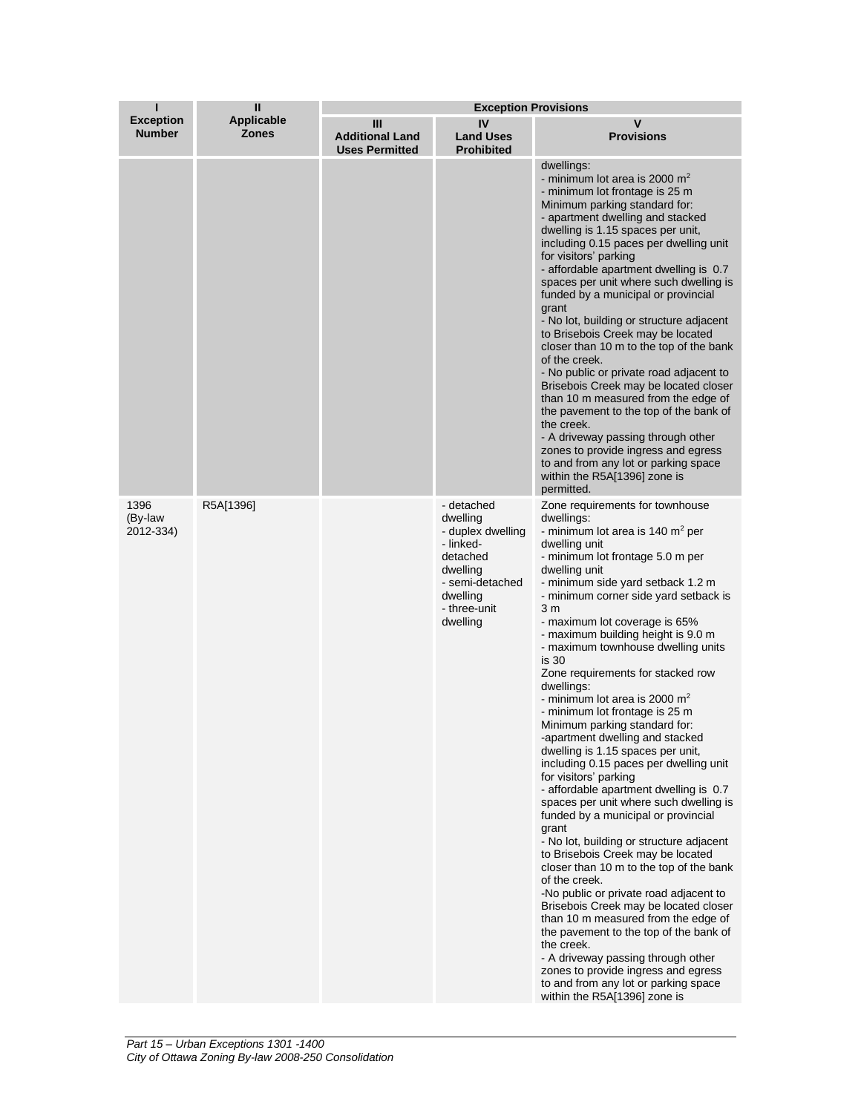| П                                 | $\mathbf{I}$                      | <b>Exception Provisions</b>                          |                                                                                                                                             |                                                                                                                                                                                                                                                                                                                                                                                                                                                                                                                                                                                                                                                                                                                                                                                                                                                                                                                                                                                                                                                                                                                                                                                                                                                                                                             |  |
|-----------------------------------|-----------------------------------|------------------------------------------------------|---------------------------------------------------------------------------------------------------------------------------------------------|-------------------------------------------------------------------------------------------------------------------------------------------------------------------------------------------------------------------------------------------------------------------------------------------------------------------------------------------------------------------------------------------------------------------------------------------------------------------------------------------------------------------------------------------------------------------------------------------------------------------------------------------------------------------------------------------------------------------------------------------------------------------------------------------------------------------------------------------------------------------------------------------------------------------------------------------------------------------------------------------------------------------------------------------------------------------------------------------------------------------------------------------------------------------------------------------------------------------------------------------------------------------------------------------------------------|--|
| <b>Exception</b><br><b>Number</b> | <b>Applicable</b><br><b>Zones</b> | Ш<br><b>Additional Land</b><br><b>Uses Permitted</b> | IV<br><b>Land Uses</b><br><b>Prohibited</b>                                                                                                 | $\mathbf v$<br><b>Provisions</b>                                                                                                                                                                                                                                                                                                                                                                                                                                                                                                                                                                                                                                                                                                                                                                                                                                                                                                                                                                                                                                                                                                                                                                                                                                                                            |  |
|                                   |                                   |                                                      |                                                                                                                                             | dwellings:<br>- minimum lot area is 2000 $m2$<br>- minimum lot frontage is 25 m<br>Minimum parking standard for:<br>- apartment dwelling and stacked<br>dwelling is 1.15 spaces per unit,<br>including 0.15 paces per dwelling unit<br>for visitors' parking<br>- affordable apartment dwelling is 0.7<br>spaces per unit where such dwelling is<br>funded by a municipal or provincial<br>grant<br>- No lot, building or structure adjacent<br>to Brisebois Creek may be located<br>closer than 10 m to the top of the bank<br>of the creek.<br>- No public or private road adjacent to<br>Brisebois Creek may be located closer<br>than 10 m measured from the edge of<br>the pavement to the top of the bank of<br>the creek.<br>- A driveway passing through other<br>zones to provide ingress and egress<br>to and from any lot or parking space<br>within the R5A[1396] zone is<br>permitted.                                                                                                                                                                                                                                                                                                                                                                                                         |  |
| 1396<br>(By-law<br>2012-334)      | R5A[1396]                         |                                                      | - detached<br>dwelling<br>- duplex dwelling<br>- linked-<br>detached<br>dwelling<br>- semi-detached<br>dwelling<br>- three-unit<br>dwelling | Zone requirements for townhouse<br>dwellings:<br>- minimum lot area is 140 $m2$ per<br>dwelling unit<br>- minimum lot frontage 5.0 m per<br>dwelling unit<br>- minimum side yard setback 1.2 m<br>- minimum corner side yard setback is<br>3 <sub>m</sub><br>- maximum lot coverage is 65%<br>- maximum building height is 9.0 m<br>- maximum townhouse dwelling units<br>is 30<br>Zone requirements for stacked row<br>dwellings:<br>- minimum lot area is 2000 $m2$<br>- minimum lot frontage is 25 m<br>Minimum parking standard for:<br>-apartment dwelling and stacked<br>dwelling is 1.15 spaces per unit,<br>including 0.15 paces per dwelling unit<br>for visitors' parking<br>- affordable apartment dwelling is 0.7<br>spaces per unit where such dwelling is<br>funded by a municipal or provincial<br>grant<br>- No lot, building or structure adjacent<br>to Brisebois Creek may be located<br>closer than 10 m to the top of the bank<br>of the creek.<br>-No public or private road adjacent to<br>Brisebois Creek may be located closer<br>than 10 m measured from the edge of<br>the pavement to the top of the bank of<br>the creek.<br>- A driveway passing through other<br>zones to provide ingress and egress<br>to and from any lot or parking space<br>within the R5A[1396] zone is |  |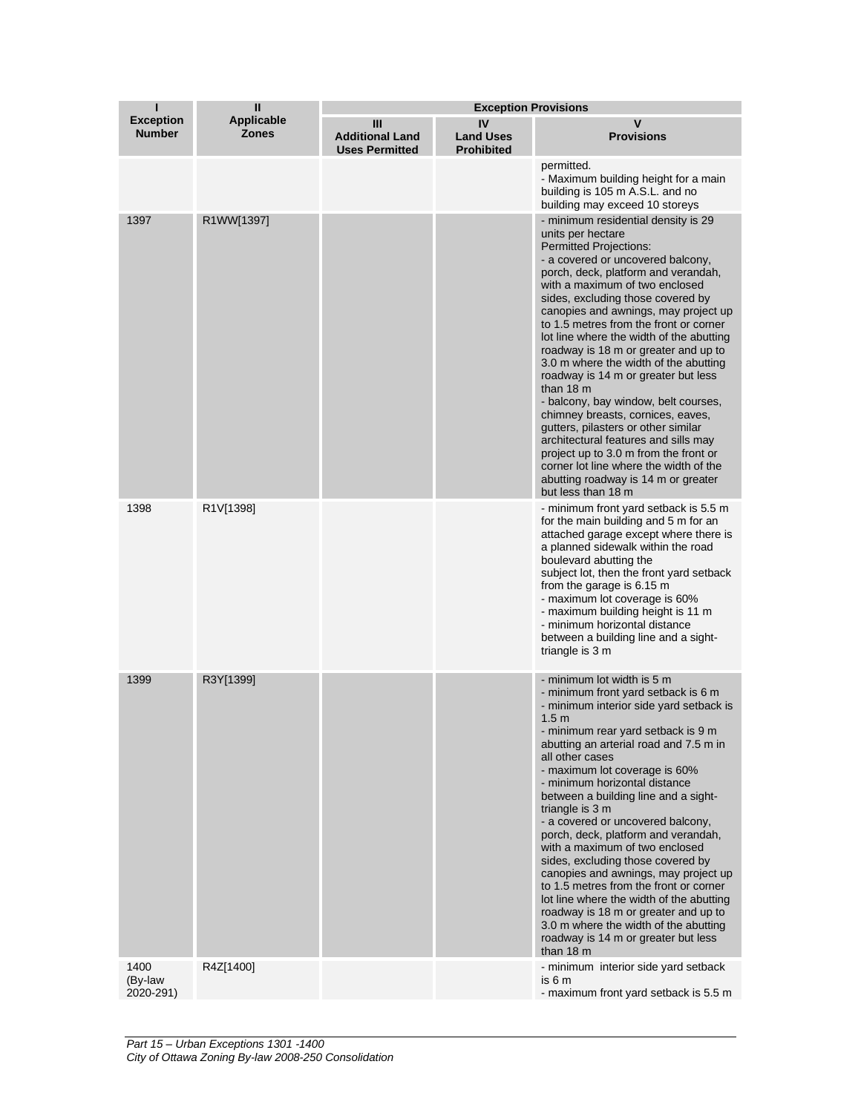| ı                                 | $\mathbf{I}$                      | <b>Exception Provisions</b>                          |                                             |                                                                                                                                                                                                                                                                                                                                                                                                                                                                                                                                                                                                                                                                                                                                                                                                                                       |  |
|-----------------------------------|-----------------------------------|------------------------------------------------------|---------------------------------------------|---------------------------------------------------------------------------------------------------------------------------------------------------------------------------------------------------------------------------------------------------------------------------------------------------------------------------------------------------------------------------------------------------------------------------------------------------------------------------------------------------------------------------------------------------------------------------------------------------------------------------------------------------------------------------------------------------------------------------------------------------------------------------------------------------------------------------------------|--|
| <b>Exception</b><br><b>Number</b> | <b>Applicable</b><br><b>Zones</b> | Ш<br><b>Additional Land</b><br><b>Uses Permitted</b> | IV<br><b>Land Uses</b><br><b>Prohibited</b> | v<br><b>Provisions</b>                                                                                                                                                                                                                                                                                                                                                                                                                                                                                                                                                                                                                                                                                                                                                                                                                |  |
|                                   |                                   |                                                      |                                             | permitted.<br>- Maximum building height for a main<br>building is 105 m A.S.L. and no<br>building may exceed 10 storeys                                                                                                                                                                                                                                                                                                                                                                                                                                                                                                                                                                                                                                                                                                               |  |
| 1397                              | R1WW[1397]                        |                                                      |                                             | - minimum residential density is 29<br>units per hectare<br><b>Permitted Projections:</b><br>- a covered or uncovered balcony,<br>porch, deck, platform and verandah,<br>with a maximum of two enclosed<br>sides, excluding those covered by<br>canopies and awnings, may project up<br>to 1.5 metres from the front or corner<br>lot line where the width of the abutting<br>roadway is 18 m or greater and up to<br>3.0 m where the width of the abutting<br>roadway is 14 m or greater but less<br>than $18 \text{ m}$<br>- balcony, bay window, belt courses,<br>chimney breasts, cornices, eaves,<br>gutters, pilasters or other similar<br>architectural features and sills may<br>project up to 3.0 m from the front or<br>corner lot line where the width of the<br>abutting roadway is 14 m or greater<br>but less than 18 m |  |
| 1398                              | R1V[1398]                         |                                                      |                                             | - minimum front yard setback is 5.5 m<br>for the main building and 5 m for an<br>attached garage except where there is<br>a planned sidewalk within the road<br>boulevard abutting the<br>subject lot, then the front yard setback<br>from the garage is 6.15 m<br>- maximum lot coverage is 60%<br>- maximum building height is 11 m<br>- minimum horizontal distance<br>between a building line and a sight-<br>triangle is 3 m                                                                                                                                                                                                                                                                                                                                                                                                     |  |
| 1399                              | R3Y[1399]                         |                                                      |                                             | - minimum lot width is 5 m<br>- minimum front yard setback is 6 m<br>- minimum interior side yard setback is<br>1.5 <sub>m</sub><br>- minimum rear yard setback is 9 m<br>abutting an arterial road and 7.5 m in<br>all other cases<br>- maximum lot coverage is 60%<br>- minimum horizontal distance<br>between a building line and a sight-<br>triangle is 3 m<br>- a covered or uncovered balcony,<br>porch, deck, platform and verandah,<br>with a maximum of two enclosed<br>sides, excluding those covered by<br>canopies and awnings, may project up<br>to 1.5 metres from the front or corner<br>lot line where the width of the abutting<br>roadway is 18 m or greater and up to<br>3.0 m where the width of the abutting<br>roadway is 14 m or greater but less<br>than 18 m                                                |  |
| 1400<br>(By-law<br>2020-291)      | R4Z[1400]                         |                                                      |                                             | - minimum interior side yard setback<br>is 6 m<br>- maximum front yard setback is 5.5 m                                                                                                                                                                                                                                                                                                                                                                                                                                                                                                                                                                                                                                                                                                                                               |  |